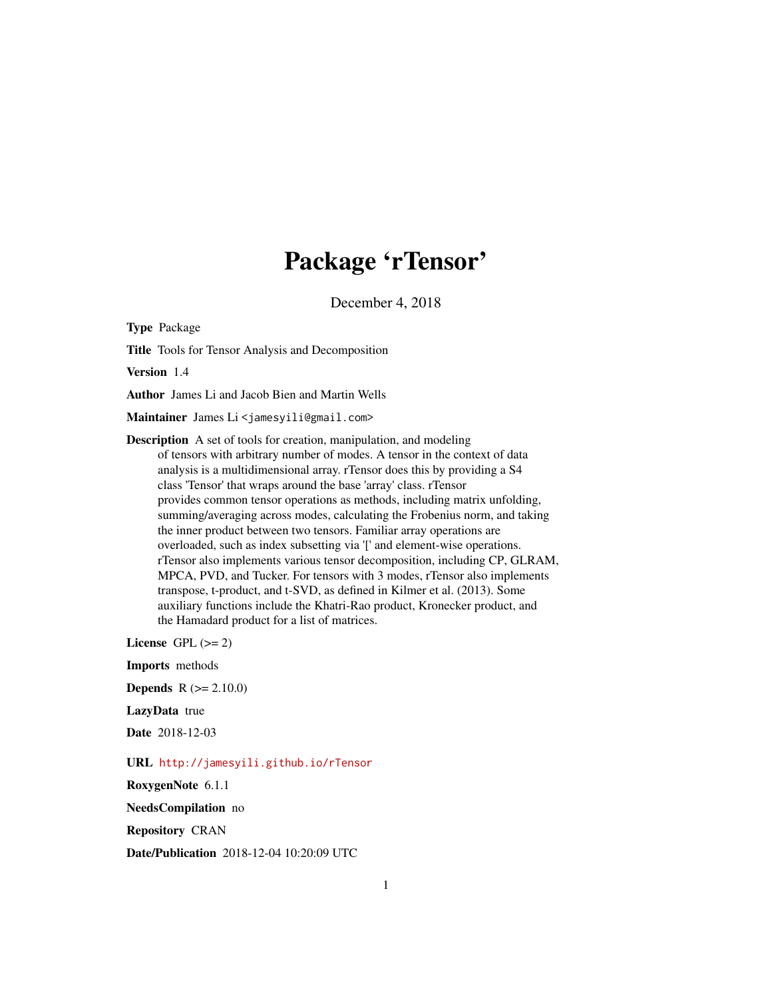## Package 'rTensor'

December 4, 2018

<span id="page-0-0"></span>Type Package

Title Tools for Tensor Analysis and Decomposition

Version 1.4

Author James Li and Jacob Bien and Martin Wells

Maintainer James Li<jamesyili@gmail.com>

Description A set of tools for creation, manipulation, and modeling of tensors with arbitrary number of modes. A tensor in the context of data analysis is a multidimensional array. rTensor does this by providing a S4 class 'Tensor' that wraps around the base 'array' class. rTensor provides common tensor operations as methods, including matrix unfolding, summing/averaging across modes, calculating the Frobenius norm, and taking the inner product between two tensors. Familiar array operations are overloaded, such as index subsetting via '[' and element-wise operations. rTensor also implements various tensor decomposition, including CP, GLRAM, MPCA, PVD, and Tucker. For tensors with 3 modes, rTensor also implements transpose, t-product, and t-SVD, as defined in Kilmer et al. (2013). Some auxiliary functions include the Khatri-Rao product, Kronecker product, and the Hamadard product for a list of matrices.

License GPL  $(>= 2)$ 

Imports methods **Depends**  $R (= 2.10.0)$ 

LazyData true

Date 2018-12-03

URL <http://jamesyili.github.io/rTensor>

RoxygenNote 6.1.1

NeedsCompilation no

Repository CRAN

Date/Publication 2018-12-04 10:20:09 UTC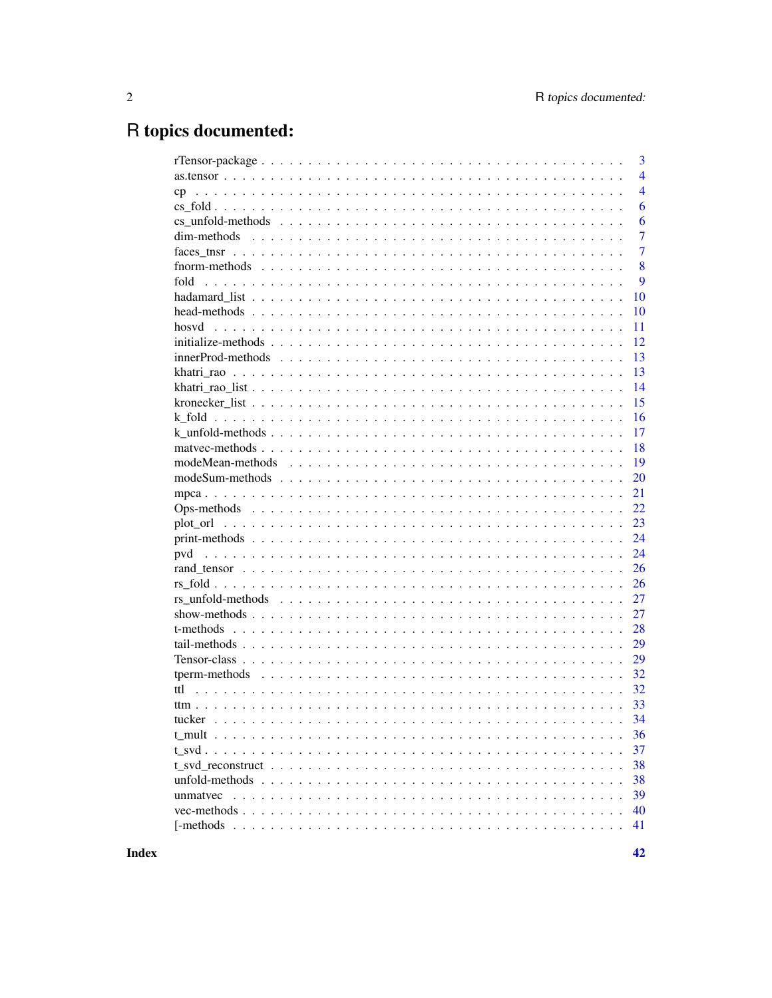# R topics documented:

|                                                                                                               |  | $\overline{3}$ |
|---------------------------------------------------------------------------------------------------------------|--|----------------|
|                                                                                                               |  | $\overline{4}$ |
| cp                                                                                                            |  | $\overline{4}$ |
|                                                                                                               |  | 6              |
|                                                                                                               |  | 6              |
|                                                                                                               |  | $\overline{7}$ |
|                                                                                                               |  | $\overline{7}$ |
|                                                                                                               |  | 8              |
| fold                                                                                                          |  | 9              |
|                                                                                                               |  | 10             |
|                                                                                                               |  | 10             |
|                                                                                                               |  | 11             |
|                                                                                                               |  | 12             |
|                                                                                                               |  | 13             |
|                                                                                                               |  | 13             |
|                                                                                                               |  | 14             |
|                                                                                                               |  | 15             |
|                                                                                                               |  |                |
|                                                                                                               |  | 16             |
|                                                                                                               |  | 17             |
|                                                                                                               |  | 18             |
|                                                                                                               |  | 19             |
| $modeSum - methods \dots \dots \dots \dots \dots \dots \dots \dots \dots \dots \dots \dots \dots \dots \dots$ |  | 20             |
|                                                                                                               |  | 21             |
|                                                                                                               |  | 22             |
|                                                                                                               |  | 23             |
|                                                                                                               |  | 24             |
|                                                                                                               |  | 24             |
|                                                                                                               |  | 26             |
|                                                                                                               |  | 26             |
|                                                                                                               |  | 27             |
|                                                                                                               |  | 27             |
|                                                                                                               |  | 28             |
|                                                                                                               |  | 29             |
|                                                                                                               |  | 29             |
|                                                                                                               |  | 32             |
|                                                                                                               |  | 32             |
|                                                                                                               |  | 33             |
|                                                                                                               |  |                |
|                                                                                                               |  |                |
|                                                                                                               |  | 36             |
|                                                                                                               |  | 37             |
|                                                                                                               |  | 38             |
|                                                                                                               |  | 38             |
|                                                                                                               |  | 39             |
|                                                                                                               |  | 40             |
|                                                                                                               |  | 41             |
|                                                                                                               |  |                |

**Index**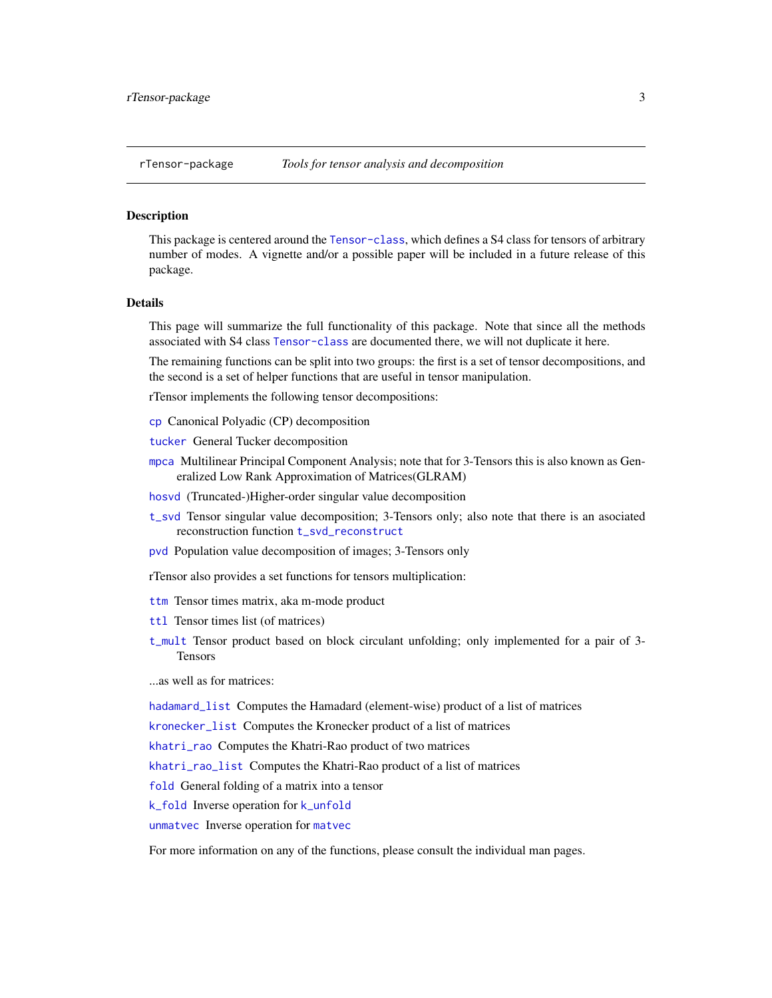<span id="page-2-0"></span>This package is centered around the [Tensor-class](#page-28-1), which defines a S4 class for tensors of arbitrary number of modes. A vignette and/or a possible paper will be included in a future release of this package.

#### Details

This page will summarize the full functionality of this package. Note that since all the methods associated with S4 class [Tensor-class](#page-28-1) are documented there, we will not duplicate it here.

The remaining functions can be split into two groups: the first is a set of tensor decompositions, and the second is a set of helper functions that are useful in tensor manipulation.

rTensor implements the following tensor decompositions:

- [cp](#page-3-1) Canonical Polyadic (CP) decomposition
- [tucker](#page-33-1) General Tucker decomposition
- [mpca](#page-20-1) Multilinear Principal Component Analysis; note that for 3-Tensors this is also known as Generalized Low Rank Approximation of Matrices(GLRAM)
- [hosvd](#page-10-1) (Truncated-)Higher-order singular value decomposition
- [t\\_svd](#page-36-1) Tensor singular value decomposition; 3-Tensors only; also note that there is an asociated reconstruction function [t\\_svd\\_reconstruct](#page-37-1)
- [pvd](#page-23-1) Population value decomposition of images; 3-Tensors only
- rTensor also provides a set functions for tensors multiplication:
- [ttm](#page-32-1) Tensor times matrix, aka m-mode product
- [ttl](#page-31-1) Tensor times list (of matrices)
- [t\\_mult](#page-35-1) Tensor product based on block circulant unfolding; only implemented for a pair of 3- Tensors

...as well as for matrices:

[hadamard\\_list](#page-9-1) Computes the Hamadard (element-wise) product of a list of matrices

[kronecker\\_list](#page-14-1) Computes the Kronecker product of a list of matrices

[khatri\\_rao](#page-12-1) Computes the Khatri-Rao product of two matrices

[khatri\\_rao\\_list](#page-13-1) Computes the Khatri-Rao product of a list of matrices

[fold](#page-8-1) General folding of a matrix into a tensor

[k\\_fold](#page-15-1) Inverse operation for [k\\_unfold](#page-16-1)

[unmatvec](#page-38-1) Inverse operation for [matvec](#page-17-1)

For more information on any of the functions, please consult the individual man pages.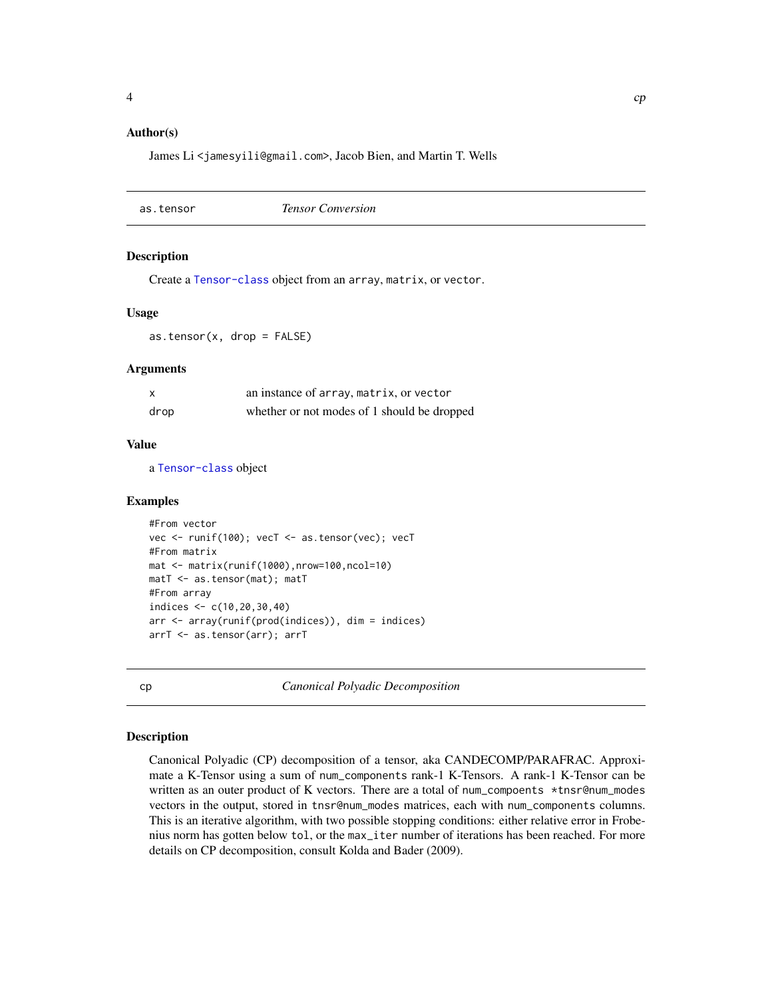#### <span id="page-3-0"></span>Author(s)

James Li <jamesyili@gmail.com>, Jacob Bien, and Martin T. Wells

<span id="page-3-2"></span>as.tensor *Tensor Conversion*

#### Description

Create a [Tensor-class](#page-28-1) object from an array, matrix, or vector.

#### Usage

 $as.tensor(x, drop = FALSE)$ 

#### **Arguments**

| x    | an instance of array, matrix, or vector     |
|------|---------------------------------------------|
| drop | whether or not modes of 1 should be dropped |

#### Value

a [Tensor-class](#page-28-1) object

#### Examples

```
#From vector
vec <- runif(100); vecT <- as.tensor(vec); vecT
#From matrix
mat <- matrix(runif(1000),nrow=100,ncol=10)
matT <- as.tensor(mat); matT
#From array
indices <- c(10,20,30,40)
arr <- array(runif(prod(indices)), dim = indices)
arrT <- as.tensor(arr); arrT
```
<span id="page-3-1"></span>cp *Canonical Polyadic Decomposition*

#### Description

Canonical Polyadic (CP) decomposition of a tensor, aka CANDECOMP/PARAFRAC. Approximate a K-Tensor using a sum of num\_components rank-1 K-Tensors. A rank-1 K-Tensor can be written as an outer product of K vectors. There are a total of num\_compoents \*tnsr@num\_modes vectors in the output, stored in tnsr@num\_modes matrices, each with num\_components columns. This is an iterative algorithm, with two possible stopping conditions: either relative error in Frobenius norm has gotten below tol, or the max\_iter number of iterations has been reached. For more details on CP decomposition, consult Kolda and Bader (2009).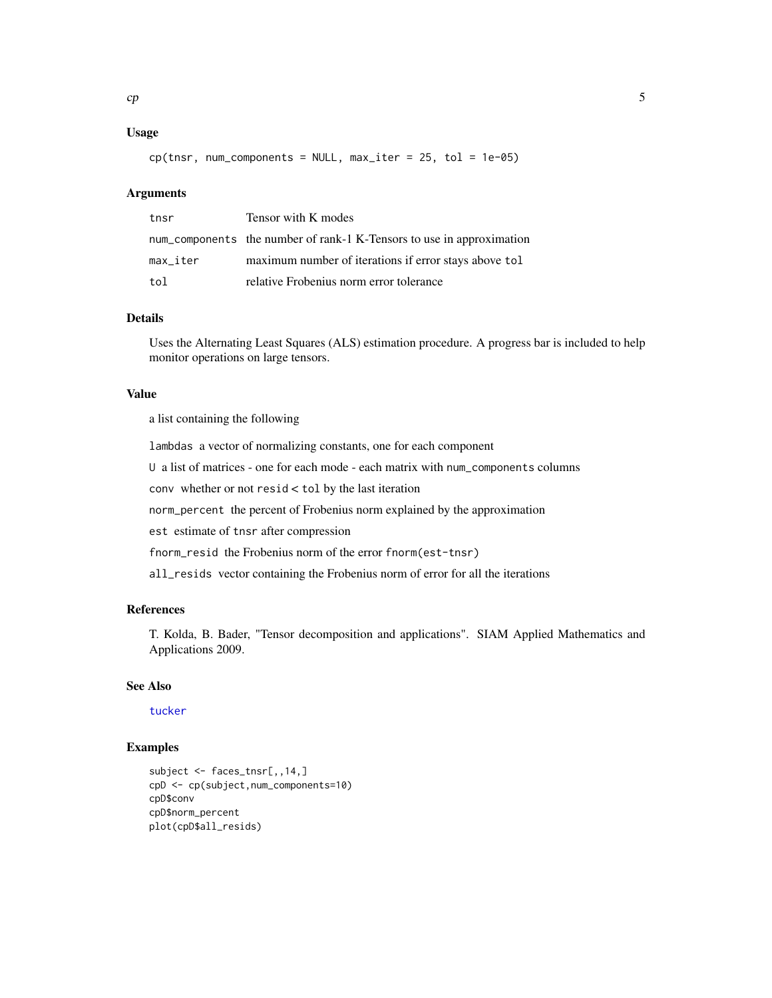#### <span id="page-4-0"></span>Usage

 $cp(tnsr, num\_components = NULL, max\_iter = 25, tol = 1e-05)$ 

#### Arguments

| tnsr     | Tensor with K modes                                                   |
|----------|-----------------------------------------------------------------------|
|          | num_components the number of rank-1 K-Tensors to use in approximation |
| max_iter | maximum number of iterations if error stays above tol                 |
| tol      | relative Frobenius norm error tolerance                               |

#### Details

Uses the Alternating Least Squares (ALS) estimation procedure. A progress bar is included to help monitor operations on large tensors.

#### Value

a list containing the following

lambdas a vector of normalizing constants, one for each component

U a list of matrices - one for each mode - each matrix with num\_components columns

conv whether or not resid < tol by the last iteration

norm\_percent the percent of Frobenius norm explained by the approximation

est estimate of tnsr after compression

fnorm\_resid the Frobenius norm of the error fnorm(est-tnsr)

all\_resids vector containing the Frobenius norm of error for all the iterations

#### References

T. Kolda, B. Bader, "Tensor decomposition and applications". SIAM Applied Mathematics and Applications 2009.

#### See Also

[tucker](#page-33-1)

```
subject <- faces_tnsr[,,14,]
cpD <- cp(subject,num_components=10)
cpD$conv
cpD$norm_percent
plot(cpD$all_resids)
```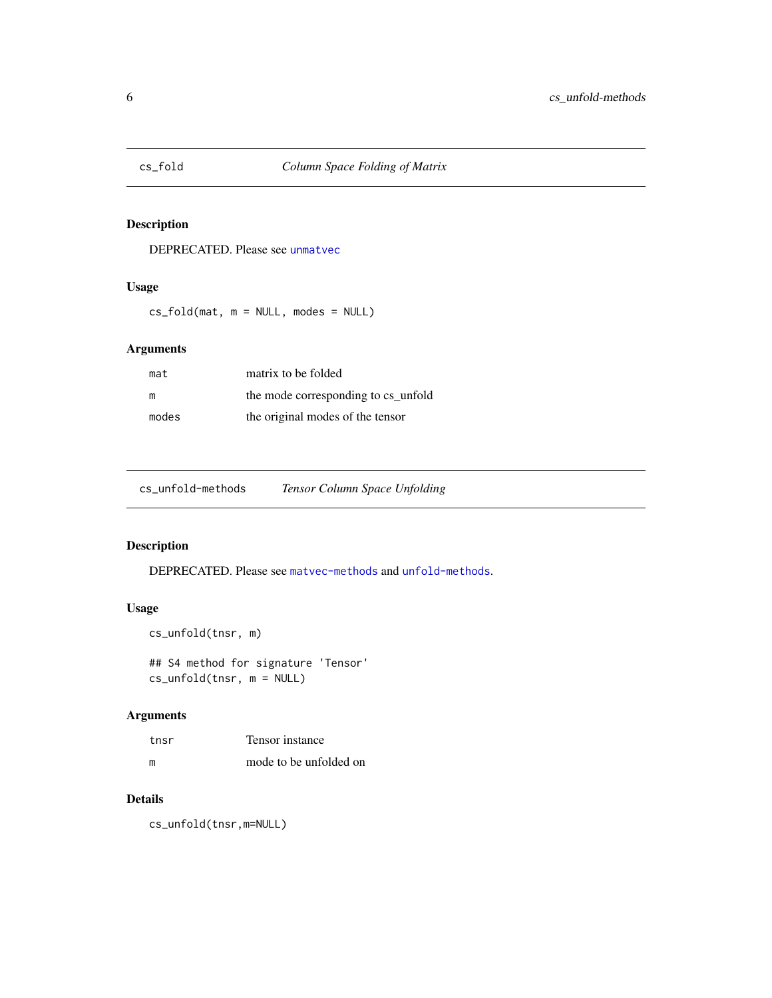<span id="page-5-0"></span>

DEPRECATED. Please see [unmatvec](#page-38-1)

#### Usage

cs\_fold(mat, m = NULL, modes = NULL)

#### Arguments

| mat   | matrix to be folded                 |
|-------|-------------------------------------|
| m     | the mode corresponding to cs unfold |
| modes | the original modes of the tensor    |

<span id="page-5-1"></span>

#### Description

DEPRECATED. Please see [matvec-methods](#page-17-2) and [unfold-methods](#page-37-2).

#### Usage

```
cs_unfold(tnsr, m)
```
## S4 method for signature 'Tensor' cs\_unfold(tnsr, m = NULL)

#### Arguments

| tnsr | Tensor instance        |
|------|------------------------|
| m    | mode to be unfolded on |

#### Details

cs\_unfold(tnsr,m=NULL)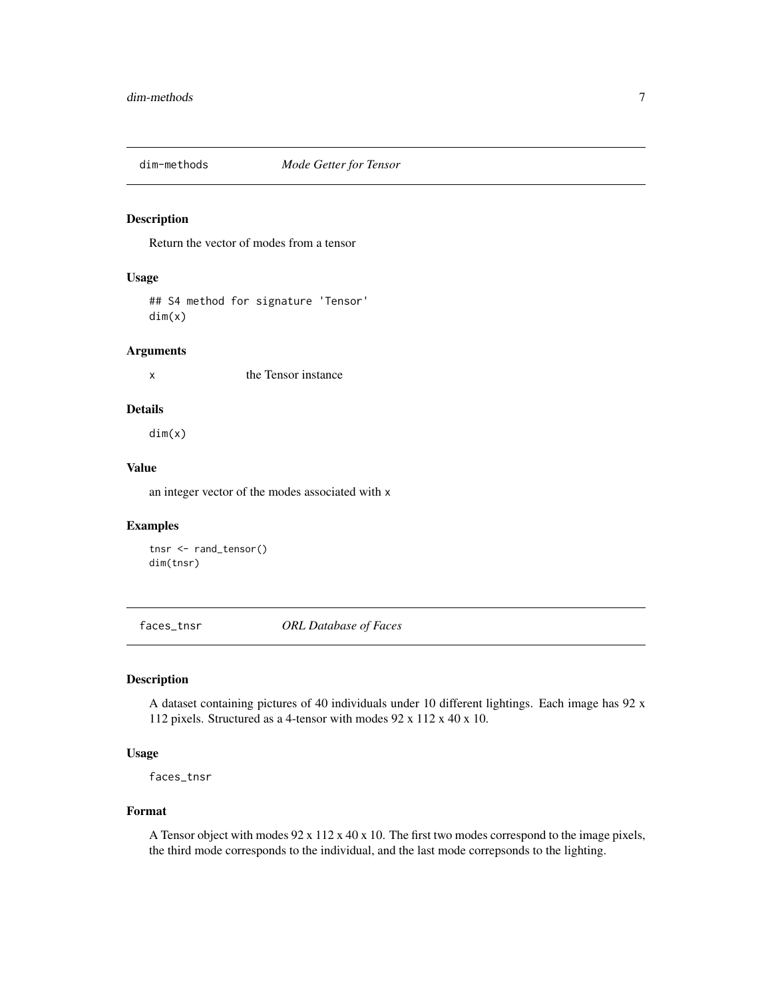<span id="page-6-2"></span><span id="page-6-0"></span>

Return the vector of modes from a tensor

#### Usage

## S4 method for signature 'Tensor' dim(x)

#### Arguments

x the Tensor instance

#### Details

dim(x)

#### Value

an integer vector of the modes associated with x

#### Examples

```
tnsr <- rand_tensor()
dim(tnsr)
```
<span id="page-6-1"></span>faces\_tnsr *ORL Database of Faces*

#### Description

A dataset containing pictures of 40 individuals under 10 different lightings. Each image has 92 x 112 pixels. Structured as a 4-tensor with modes 92 x 112 x 40 x 10.

#### Usage

faces\_tnsr

#### Format

A Tensor object with modes 92 x 112 x 40 x 10. The first two modes correspond to the image pixels, the third mode corresponds to the individual, and the last mode correpsonds to the lighting.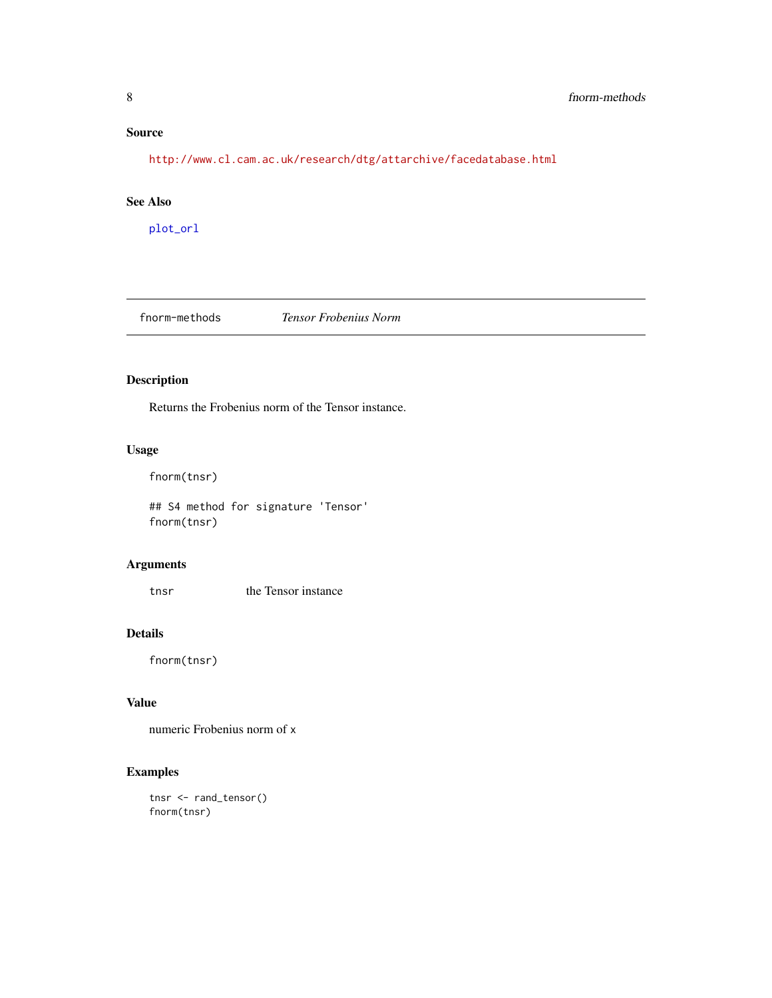#### <span id="page-7-0"></span>Source

<http://www.cl.cam.ac.uk/research/dtg/attarchive/facedatabase.html>

#### See Also

[plot\\_orl](#page-22-1)

<span id="page-7-1"></span>fnorm-methods *Tensor Frobenius Norm*

#### Description

Returns the Frobenius norm of the Tensor instance.

#### Usage

```
fnorm(tnsr)
```
## S4 method for signature 'Tensor' fnorm(tnsr)

#### Arguments

tnsr the Tensor instance

#### Details

fnorm(tnsr)

#### Value

numeric Frobenius norm of x

```
tnsr <- rand_tensor()
fnorm(tnsr)
```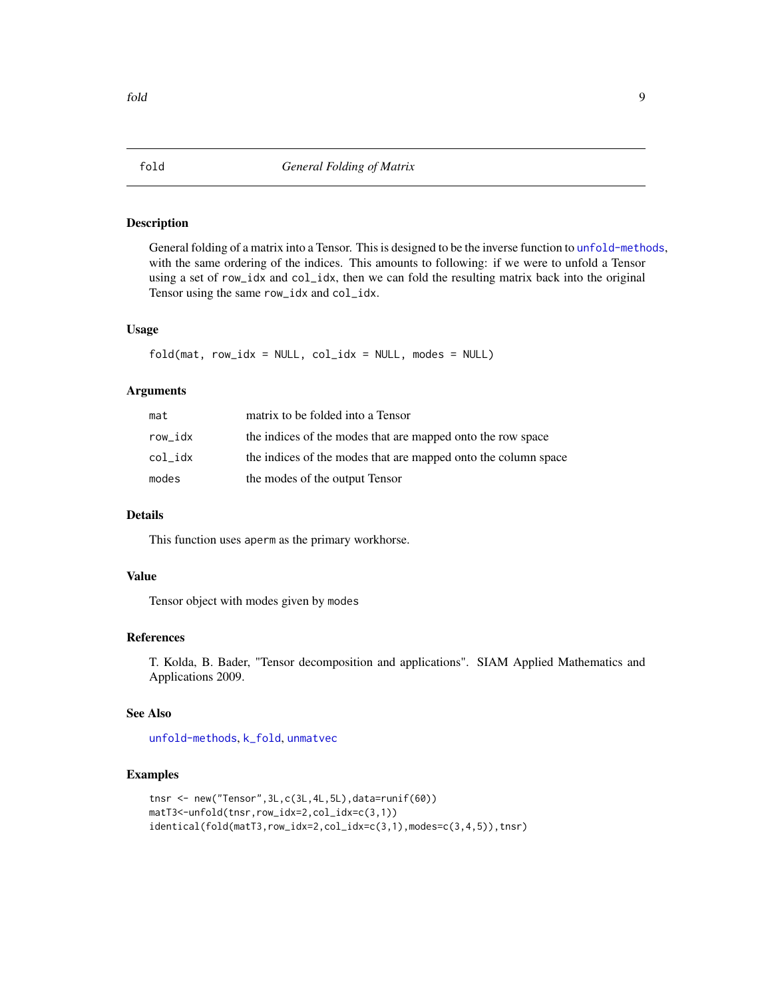<span id="page-8-1"></span><span id="page-8-0"></span>General folding of a matrix into a Tensor. This is designed to be the inverse function to [unfold-methods](#page-37-2), with the same ordering of the indices. This amounts to following: if we were to unfold a Tensor using a set of row\_idx and col\_idx, then we can fold the resulting matrix back into the original Tensor using the same row\_idx and col\_idx.

#### Usage

```
fold(mat, row\_idx = NULL, col_idx = NULL, modes = NULL)
```
#### Arguments

| mat     | matrix to be folded into a Tensor                              |
|---------|----------------------------------------------------------------|
| row idx | the indices of the modes that are mapped onto the row space    |
| col idx | the indices of the modes that are mapped onto the column space |
| modes   | the modes of the output Tensor                                 |

#### Details

This function uses aperm as the primary workhorse.

#### Value

Tensor object with modes given by modes

#### References

T. Kolda, B. Bader, "Tensor decomposition and applications". SIAM Applied Mathematics and Applications 2009.

#### See Also

[unfold-methods](#page-37-2), [k\\_fold](#page-15-1), [unmatvec](#page-38-1)

```
tnsr <- new("Tensor",3L,c(3L,4L,5L),data=runif(60))
matT3<-unfold(tnsr,row_idx=2,col_idx=c(3,1))
identical(fold(matT3,row_idx=2,col_idx=c(3,1),modes=c(3,4,5)),tnsr)
```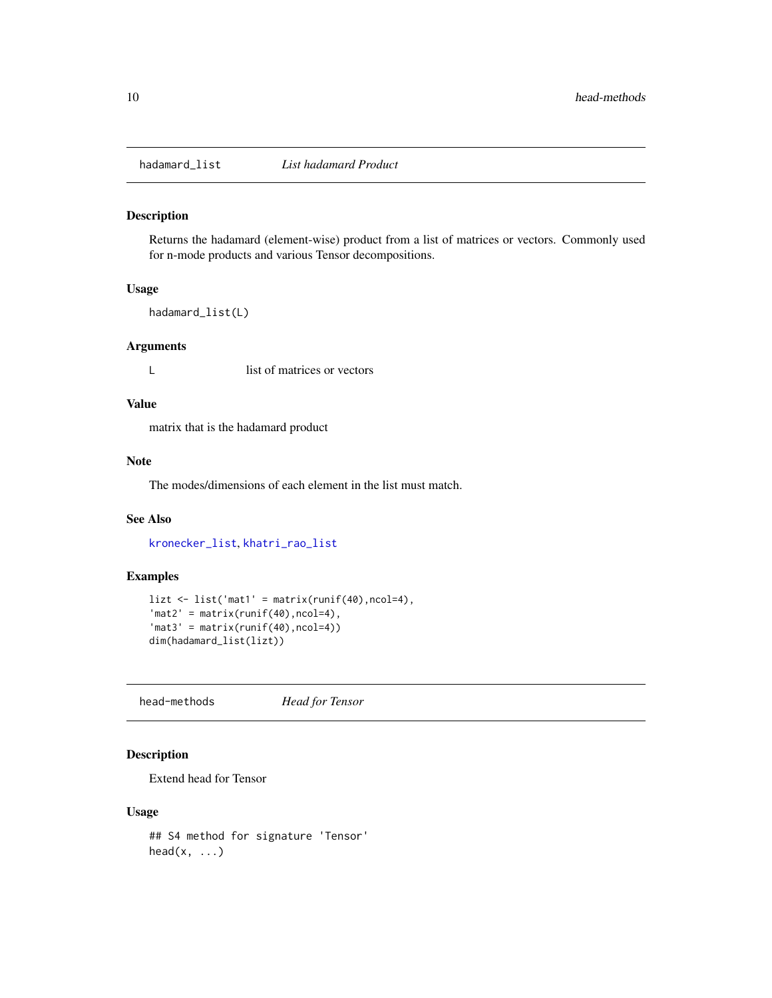<span id="page-9-1"></span><span id="page-9-0"></span>

Returns the hadamard (element-wise) product from a list of matrices or vectors. Commonly used for n-mode products and various Tensor decompositions.

#### Usage

```
hadamard_list(L)
```
#### Arguments

L list of matrices or vectors

#### Value

matrix that is the hadamard product

#### Note

The modes/dimensions of each element in the list must match.

#### See Also

[kronecker\\_list](#page-14-1), [khatri\\_rao\\_list](#page-13-1)

#### Examples

```
lizt <- list('mat1' = matrix(runif(40),ncol=4),
'mat2' = matrix(runif(40), ncol=4),
'mat3' = matrix(runif(40),ncol=4))dim(hadamard_list(lizt))
```
<span id="page-9-2"></span>head-methods *Head for Tensor*

#### Description

Extend head for Tensor

#### Usage

```
## S4 method for signature 'Tensor'
head(x, \ldots)
```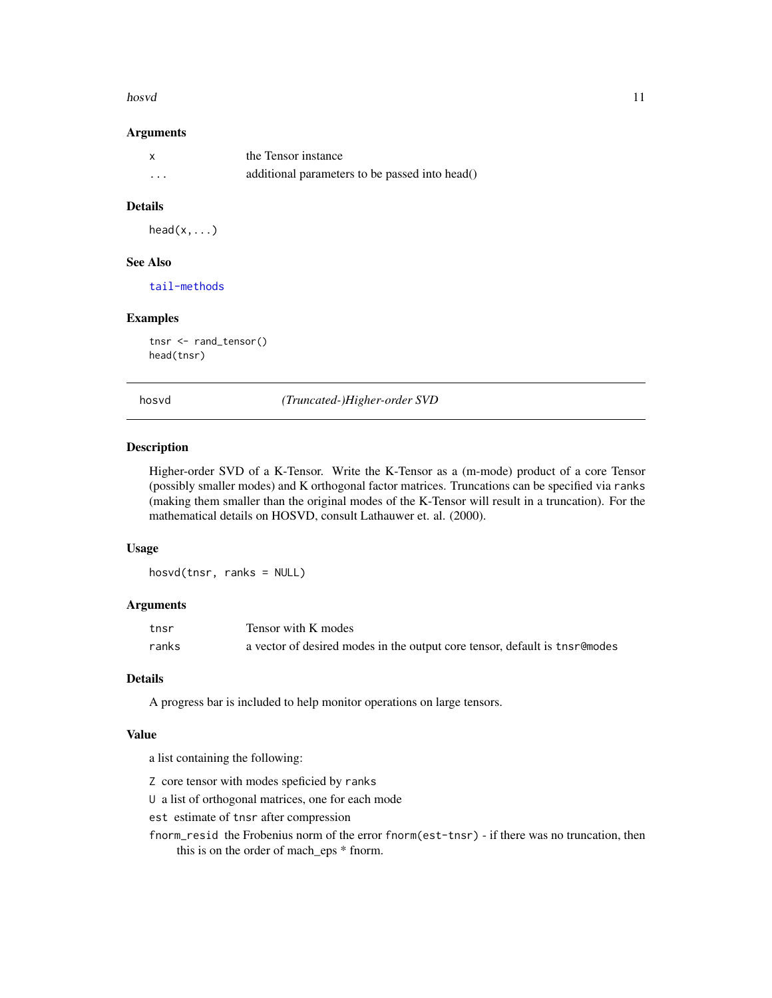#### <span id="page-10-0"></span>hosvd and the state of the state of the state of the state of the state of the state of the state of the state of the state of the state of the state of the state of the state of the state of the state of the state of the

#### Arguments

|          | the Tensor instance                            |
|----------|------------------------------------------------|
| $\cdots$ | additional parameters to be passed into head() |

#### Details

 $head(x, \ldots)$ 

#### See Also

[tail-methods](#page-28-2)

#### Examples

tnsr <- rand\_tensor() head(tnsr)

<span id="page-10-1"></span>hosvd *(Truncated-)Higher-order SVD*

#### Description

Higher-order SVD of a K-Tensor. Write the K-Tensor as a (m-mode) product of a core Tensor (possibly smaller modes) and K orthogonal factor matrices. Truncations can be specified via ranks (making them smaller than the original modes of the K-Tensor will result in a truncation). For the mathematical details on HOSVD, consult Lathauwer et. al. (2000).

#### Usage

hosvd(tnsr, ranks = NULL)

#### **Arguments**

| tnsr  | Tensor with K modes                                                        |
|-------|----------------------------------------------------------------------------|
| ranks | a vector of desired modes in the output core tensor, default is tnsr@modes |

#### Details

A progress bar is included to help monitor operations on large tensors.

#### Value

a list containing the following:

- Z core tensor with modes speficied by ranks
- U a list of orthogonal matrices, one for each mode
- est estimate of tnsr after compression
- fnorm\_resid the Frobenius norm of the error fnorm(est-tnsr) if there was no truncation, then this is on the order of mach\_eps \* fnorm.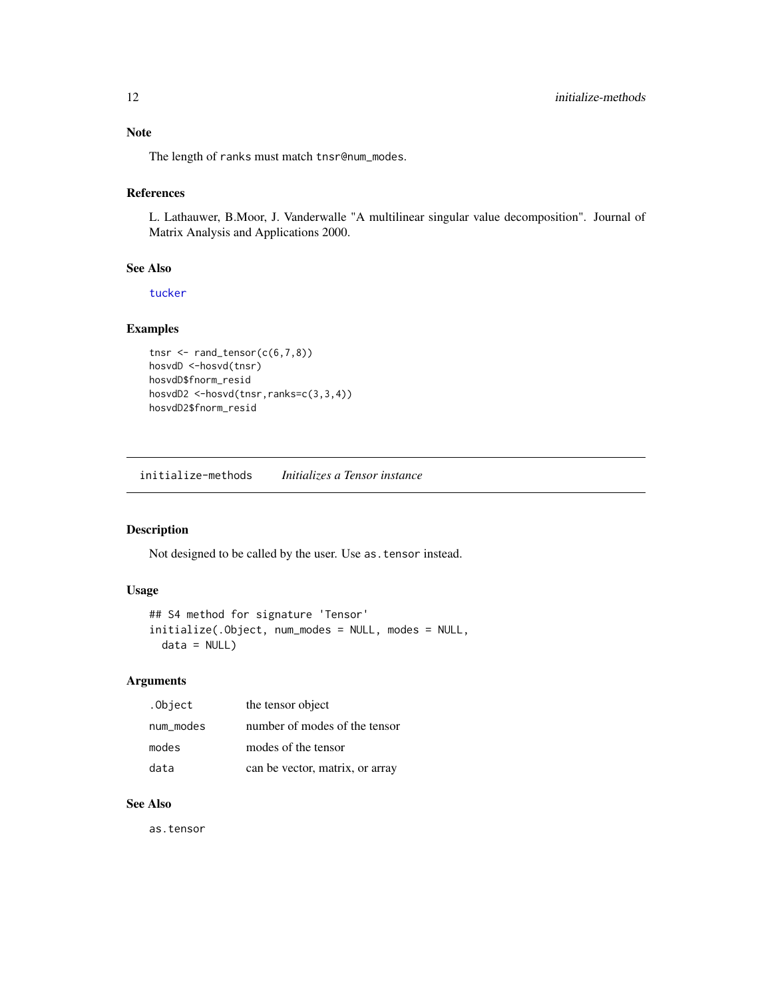<span id="page-11-0"></span>The length of ranks must match tnsr@num\_modes.

#### References

L. Lathauwer, B.Moor, J. Vanderwalle "A multilinear singular value decomposition". Journal of Matrix Analysis and Applications 2000.

#### See Also

[tucker](#page-33-1)

#### Examples

```
tnsr \leq rand_tensor(c(6,7,8))
hosvdD <-hosvd(tnsr)
hosvdD$fnorm_resid
hosvdD2 <-hosvd(tnsr,ranks=c(3,3,4))
hosvdD2$fnorm_resid
```
initialize-methods *Initializes a Tensor instance*

#### Description

Not designed to be called by the user. Use as.tensor instead.

#### Usage

```
## S4 method for signature 'Tensor'
initialize(.Object, num_modes = NULL, modes = NULL,
  data = NULL)
```
#### Arguments

| .Object   | the tensor object               |
|-----------|---------------------------------|
| num modes | number of modes of the tensor   |
| modes     | modes of the tensor             |
| data      | can be vector, matrix, or array |

### See Also

as.tensor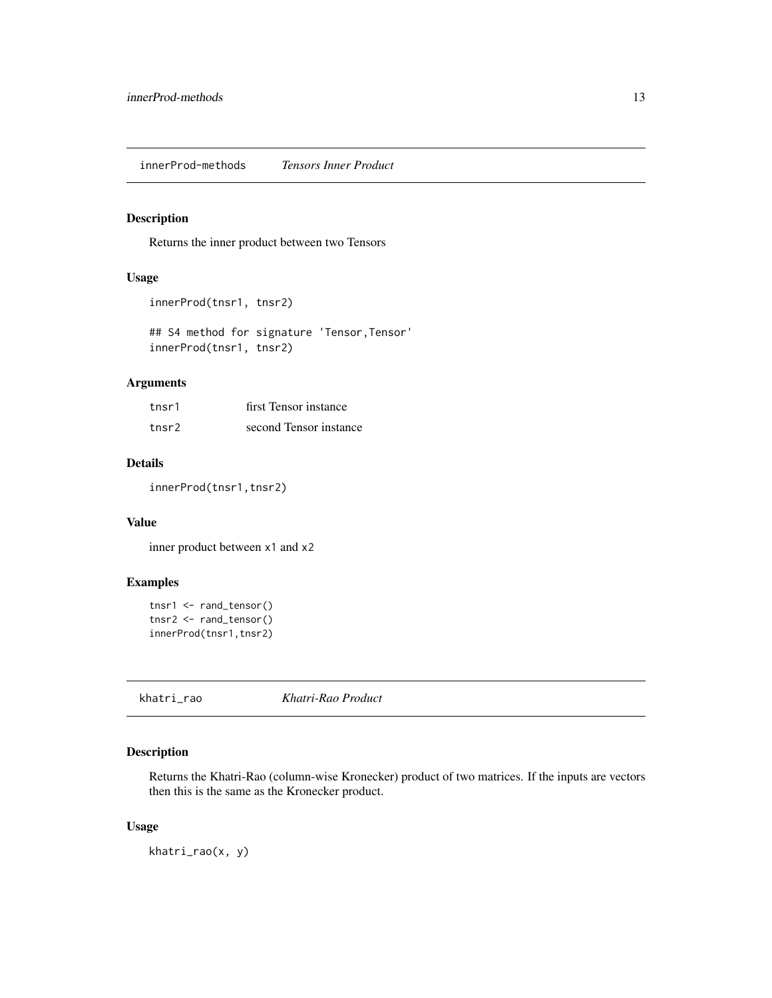<span id="page-12-2"></span><span id="page-12-0"></span>innerProd-methods *Tensors Inner Product*

#### **Description**

Returns the inner product between two Tensors

### Usage

```
innerProd(tnsr1, tnsr2)
```
## S4 method for signature 'Tensor, Tensor' innerProd(tnsr1, tnsr2)

#### Arguments

| tnsr1 | first Tensor instance  |
|-------|------------------------|
| tnsr2 | second Tensor instance |

#### Details

innerProd(tnsr1,tnsr2)

#### Value

inner product between x1 and x2

#### Examples

```
tnsr1 <- rand_tensor()
tnsr2 <- rand_tensor()
innerProd(tnsr1,tnsr2)
```
<span id="page-12-1"></span>khatri\_rao *Khatri-Rao Product*

#### Description

Returns the Khatri-Rao (column-wise Kronecker) product of two matrices. If the inputs are vectors then this is the same as the Kronecker product.

#### Usage

khatri\_rao(x, y)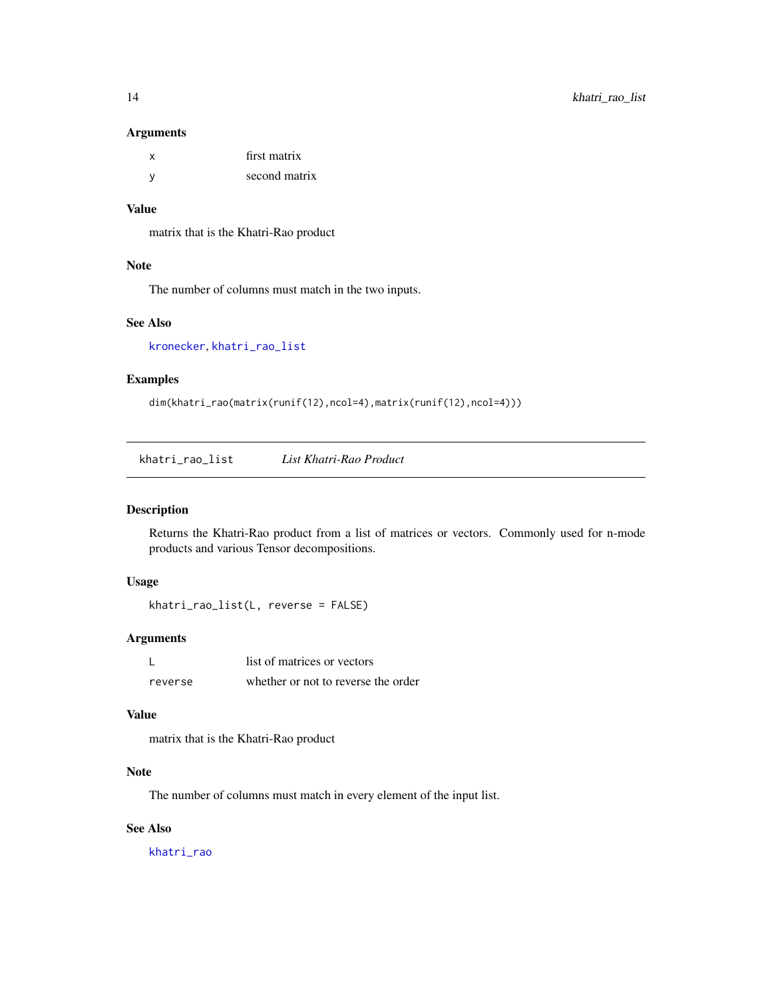#### <span id="page-13-0"></span>Arguments

|     | first matrix  |
|-----|---------------|
| - V | second matrix |

#### Value

matrix that is the Khatri-Rao product

#### Note

The number of columns must match in the two inputs.

#### See Also

[kronecker](#page-0-0), [khatri\\_rao\\_list](#page-13-1)

#### Examples

dim(khatri\_rao(matrix(runif(12),ncol=4),matrix(runif(12),ncol=4)))

<span id="page-13-1"></span>khatri\_rao\_list *List Khatri-Rao Product*

#### Description

Returns the Khatri-Rao product from a list of matrices or vectors. Commonly used for n-mode products and various Tensor decompositions.

#### Usage

khatri\_rao\_list(L, reverse = FALSE)

#### Arguments

|         | list of matrices or vectors         |
|---------|-------------------------------------|
| reverse | whether or not to reverse the order |

#### Value

matrix that is the Khatri-Rao product

#### Note

The number of columns must match in every element of the input list.

#### See Also

[khatri\\_rao](#page-12-1)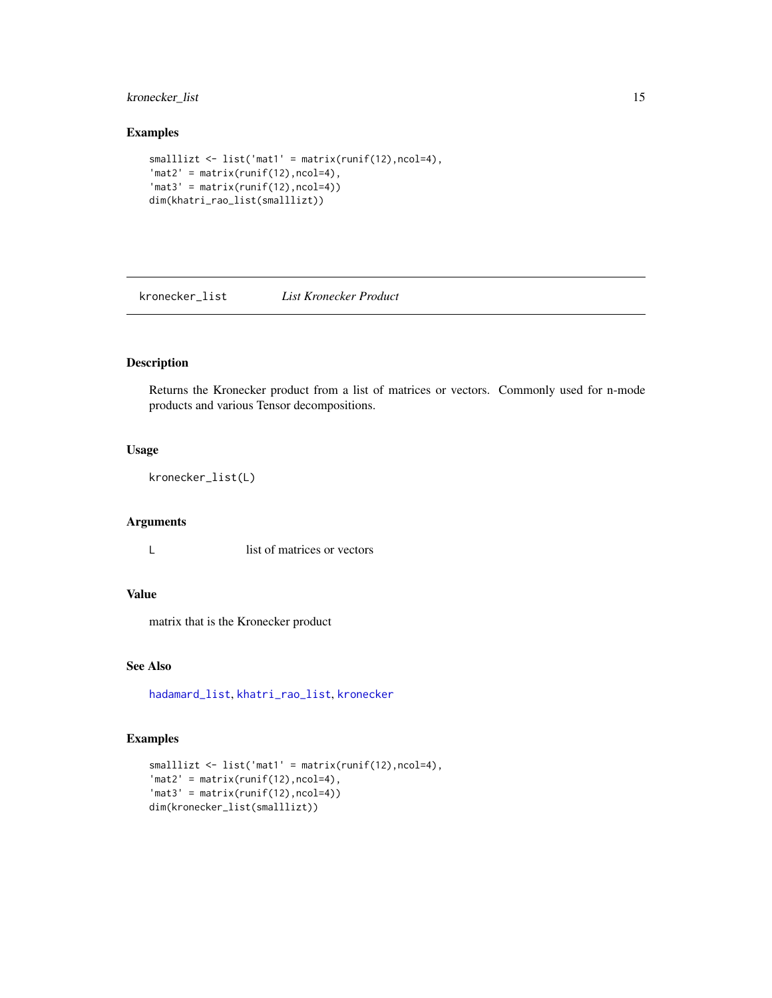#### <span id="page-14-0"></span>kronecker\_list 15

### Examples

```
smalllizt <- list('mat1' = matrix(runif(12),ncol=4),
'mat2' = matrix(runif(12),ncol=4),'mat3' = matrix(runif(12),ncol=4))dim(khatri_rao_list(smalllizt))
```
<span id="page-14-1"></span>kronecker\_list *List Kronecker Product*

#### Description

Returns the Kronecker product from a list of matrices or vectors. Commonly used for n-mode products and various Tensor decompositions.

#### Usage

kronecker\_list(L)

#### Arguments

L list of matrices or vectors

#### Value

matrix that is the Kronecker product

#### See Also

[hadamard\\_list](#page-9-1), [khatri\\_rao\\_list](#page-13-1), [kronecker](#page-0-0)

```
smalllizt <- list('mat1' = matrix(runif(12),ncol=4),
'mat2' = matrix(runif(12),ncol=4),'mat3' = matrix(runif(12),ncol=4))dim(kronecker_list(smalllizt))
```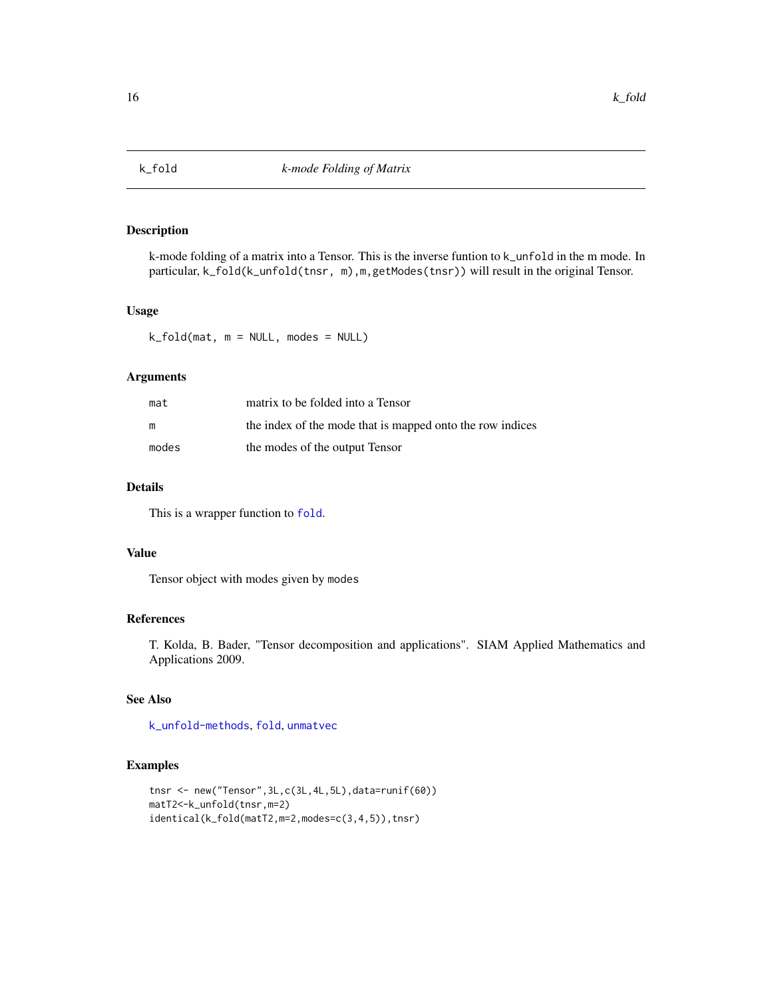<span id="page-15-1"></span><span id="page-15-0"></span>

k-mode folding of a matrix into a Tensor. This is the inverse funtion to k\_unfold in the m mode. In particular, k\_fold(k\_unfold(tnsr, m),m,getModes(tnsr)) will result in the original Tensor.

#### Usage

k\_fold(mat, m = NULL, modes = NULL)

#### Arguments

| mat   | matrix to be folded into a Tensor                         |
|-------|-----------------------------------------------------------|
| m     | the index of the mode that is mapped onto the row indices |
| modes | the modes of the output Tensor                            |

#### Details

This is a wrapper function to [fold](#page-8-1).

#### Value

Tensor object with modes given by modes

#### References

T. Kolda, B. Bader, "Tensor decomposition and applications". SIAM Applied Mathematics and Applications 2009.

### See Also

[k\\_unfold-methods](#page-16-2), [fold](#page-8-1), [unmatvec](#page-38-1)

```
tnsr <- new("Tensor",3L,c(3L,4L,5L),data=runif(60))
matT2<-k_unfold(tnsr,m=2)
identical(k_fold(matT2,m=2,modes=c(3,4,5)),tnsr)
```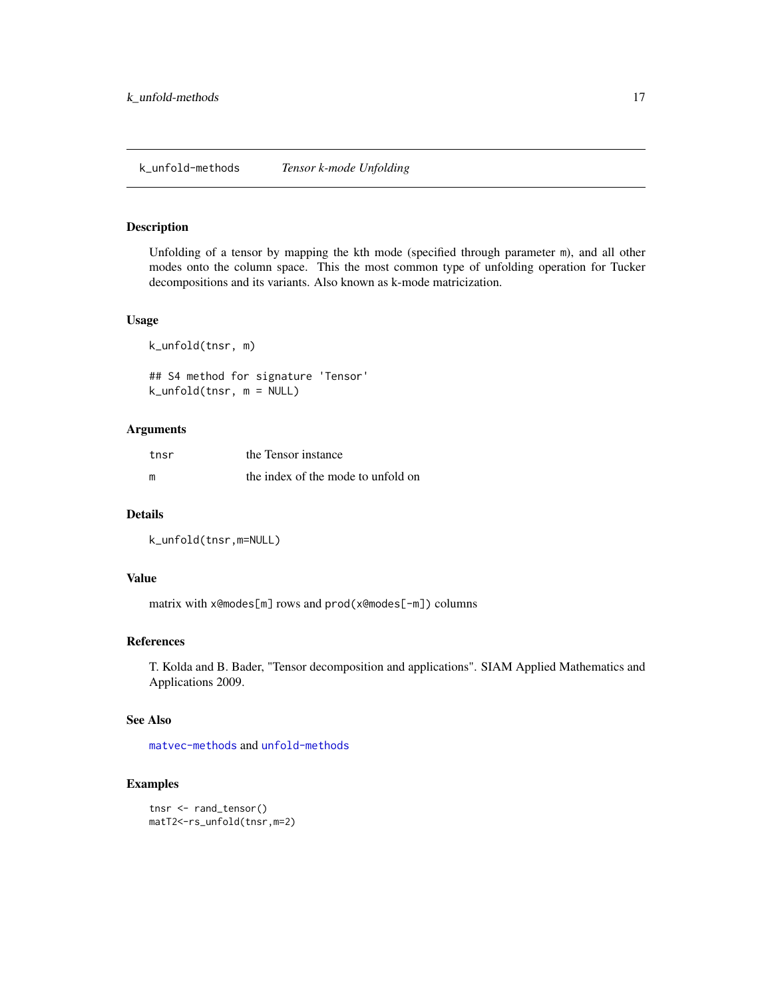<span id="page-16-2"></span><span id="page-16-1"></span><span id="page-16-0"></span>Unfolding of a tensor by mapping the kth mode (specified through parameter m), and all other modes onto the column space. This the most common type of unfolding operation for Tucker decompositions and its variants. Also known as k-mode matricization.

#### Usage

k\_unfold(tnsr, m)

## S4 method for signature 'Tensor' k\_unfold(tnsr, m = NULL)

#### Arguments

| tnsr | the Tensor instance                |
|------|------------------------------------|
| m    | the index of the mode to unfold on |

#### Details

k\_unfold(tnsr,m=NULL)

#### Value

matrix with x@modes[m] rows and prod(x@modes[-m]) columns

#### References

T. Kolda and B. Bader, "Tensor decomposition and applications". SIAM Applied Mathematics and Applications 2009.

#### See Also

[matvec-methods](#page-17-2) and [unfold-methods](#page-37-2)

```
tnsr <- rand_tensor()
matT2<-rs_unfold(tnsr,m=2)
```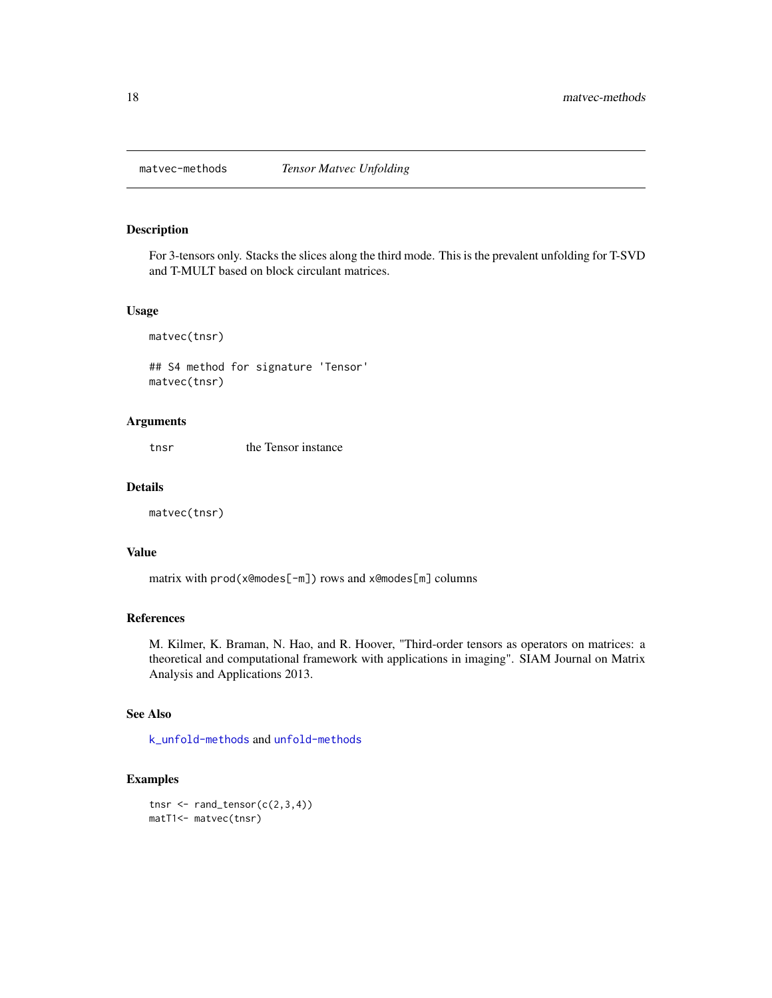<span id="page-17-2"></span><span id="page-17-1"></span><span id="page-17-0"></span>

For 3-tensors only. Stacks the slices along the third mode. This is the prevalent unfolding for T-SVD and T-MULT based on block circulant matrices.

#### Usage

matvec(tnsr)

## S4 method for signature 'Tensor' matvec(tnsr)

#### Arguments

tnsr the Tensor instance

#### Details

matvec(tnsr)

#### Value

matrix with prod(x@modes[-m]) rows and x@modes[m] columns

#### References

M. Kilmer, K. Braman, N. Hao, and R. Hoover, "Third-order tensors as operators on matrices: a theoretical and computational framework with applications in imaging". SIAM Journal on Matrix Analysis and Applications 2013.

#### See Also

[k\\_unfold-methods](#page-16-2) and [unfold-methods](#page-37-2)

#### Examples

tnsr  $\leq$  rand\_tensor( $c(2,3,4)$ ) matT1<- matvec(tnsr)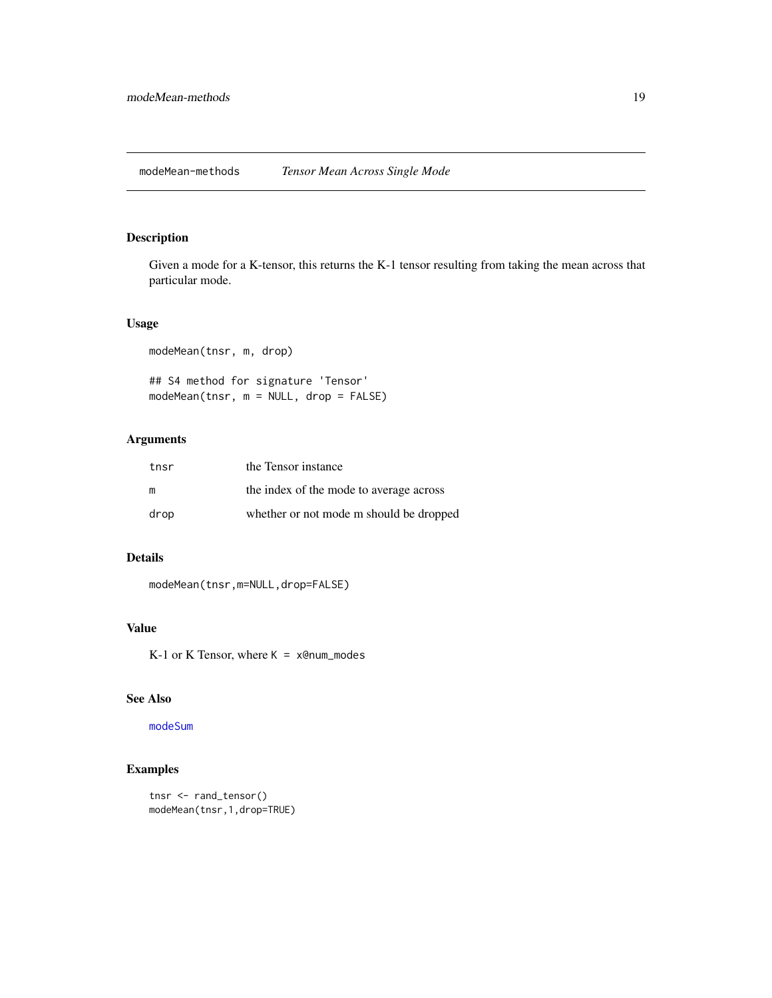<span id="page-18-2"></span><span id="page-18-1"></span><span id="page-18-0"></span>Given a mode for a K-tensor, this returns the K-1 tensor resulting from taking the mean across that particular mode.

#### Usage

```
modeMean(tnsr, m, drop)
## S4 method for signature 'Tensor'
modeMean(tnsr, m = NULL, drop = FALSE)
```
#### Arguments

| tnsr | the Tensor instance                     |
|------|-----------------------------------------|
| m    | the index of the mode to average across |
| drop | whether or not mode m should be dropped |

#### Details

modeMean(tnsr,m=NULL,drop=FALSE)

#### Value

 $K-1$  or  $K$  Tensor, where  $K = x$ @num\_modes

#### See Also

[modeSum](#page-19-1)

```
tnsr <- rand_tensor()
modeMean(tnsr,1,drop=TRUE)
```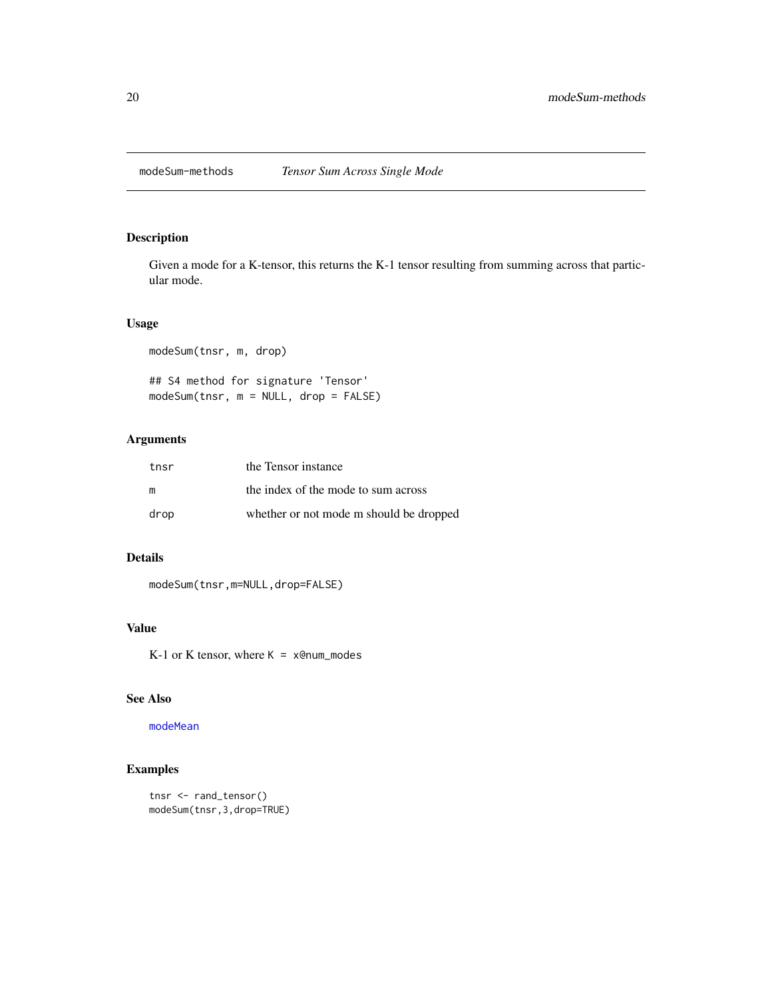<span id="page-19-2"></span><span id="page-19-1"></span><span id="page-19-0"></span>

Given a mode for a K-tensor, this returns the K-1 tensor resulting from summing across that particular mode.

#### Usage

```
modeSum(tnsr, m, drop)
## S4 method for signature 'Tensor'
modeSum(tnsr, m = NULL, drop = FALSE)
```
#### Arguments

| tnsr | the Tensor instance                     |
|------|-----------------------------------------|
| m    | the index of the mode to sum across     |
| drop | whether or not mode m should be dropped |

#### Details

modeSum(tnsr,m=NULL,drop=FALSE)

#### Value

 $K-1$  or  $K$  tensor, where  $K = x$ @num\_modes

#### See Also

[modeMean](#page-18-1)

```
tnsr <- rand_tensor()
modeSum(tnsr,3,drop=TRUE)
```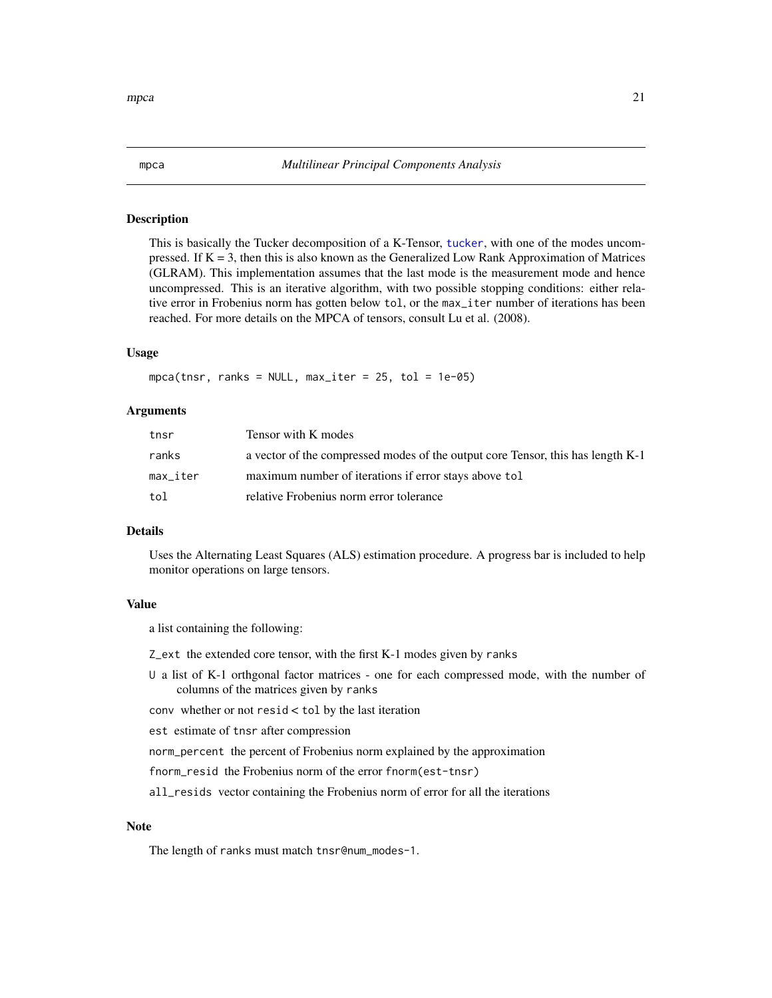This is basically the Tucker decomposition of a K-Tensor, [tucker](#page-33-1), with one of the modes uncompressed. If  $K = 3$ , then this is also known as the Generalized Low Rank Approximation of Matrices (GLRAM). This implementation assumes that the last mode is the measurement mode and hence uncompressed. This is an iterative algorithm, with two possible stopping conditions: either relative error in Frobenius norm has gotten below tol, or the max\_iter number of iterations has been reached. For more details on the MPCA of tensors, consult Lu et al. (2008).

#### Usage

 $mpca(tnsr, ranks = NULL, max\_iter = 25, tol = 1e-05)$ 

#### Arguments

| tnsr     | Tensor with K modes                                                             |
|----------|---------------------------------------------------------------------------------|
| ranks    | a vector of the compressed modes of the output core Tensor, this has length K-1 |
| max iter | maximum number of iterations if error stays above tol                           |
| tol      | relative Frobenius norm error tolerance                                         |

#### Details

Uses the Alternating Least Squares (ALS) estimation procedure. A progress bar is included to help monitor operations on large tensors.

#### Value

a list containing the following:

- Z\_ext the extended core tensor, with the first K-1 modes given by ranks
- U a list of K-1 orthgonal factor matrices one for each compressed mode, with the number of columns of the matrices given by ranks
- conv whether or not resid < tol by the last iteration

est estimate of tnsr after compression

norm\_percent the percent of Frobenius norm explained by the approximation

fnorm\_resid the Frobenius norm of the error fnorm(est-tnsr)

all\_resids vector containing the Frobenius norm of error for all the iterations

#### Note

The length of ranks must match tnsr@num\_modes-1.

<span id="page-20-1"></span><span id="page-20-0"></span>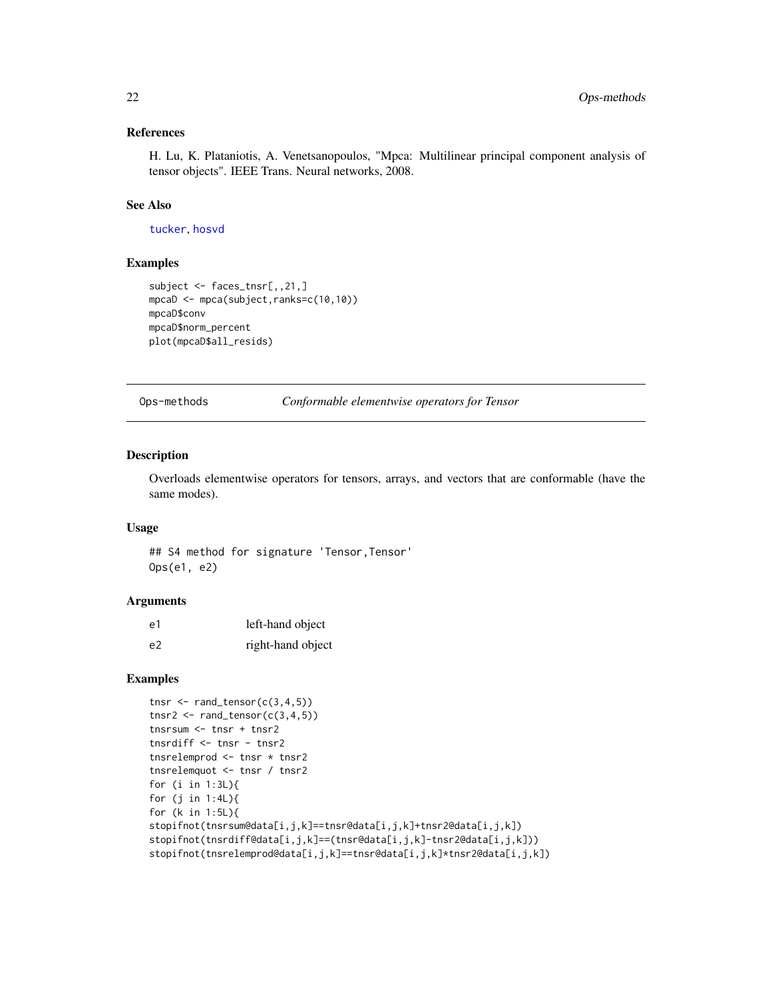#### <span id="page-21-0"></span>References

H. Lu, K. Plataniotis, A. Venetsanopoulos, "Mpca: Multilinear principal component analysis of tensor objects". IEEE Trans. Neural networks, 2008.

#### See Also

[tucker](#page-33-1), [hosvd](#page-10-1)

#### Examples

```
subject <- faces_tnsr[,,21,]
mpcaD <- mpca(subject,ranks=c(10,10))
mpcaD$conv
mpcaD$norm_percent
plot(mpcaD$all_resids)
```
Ops-methods *Conformable elementwise operators for Tensor*

#### Description

Overloads elementwise operators for tensors, arrays, and vectors that are conformable (have the same modes).

#### Usage

## S4 method for signature 'Tensor, Tensor' Ops(e1, e2)

#### Arguments

| e1 | left-hand object  |
|----|-------------------|
| e2 | right-hand object |

```
tnsr \leq rand_tensor(c(3,4,5))
tnsr2 \leftarrow rand_tensor(c(3,4,5))
tnsrsum <- tnsr + tnsr2
tnsrdiff <- tnsr - tnsr2
tnsrelemprod <- tnsr * tnsr2
tnsrelemquot <- tnsr / tnsr2
for (i in 1:3L){
for (j in 1:4L){
for (k in 1:5L){
stopifnot(tnsrsum@data[i,j,k]==tnsr@data[i,j,k]+tnsr2@data[i,j,k])
stopifnot(tnsrdiff@data[i,j,k]==(tnsr@data[i,j,k]-tnsr2@data[i,j,k]))
stopifnot(tnsrelemprod@data[i,j,k]==tnsr@data[i,j,k]*tnsr2@data[i,j,k])
```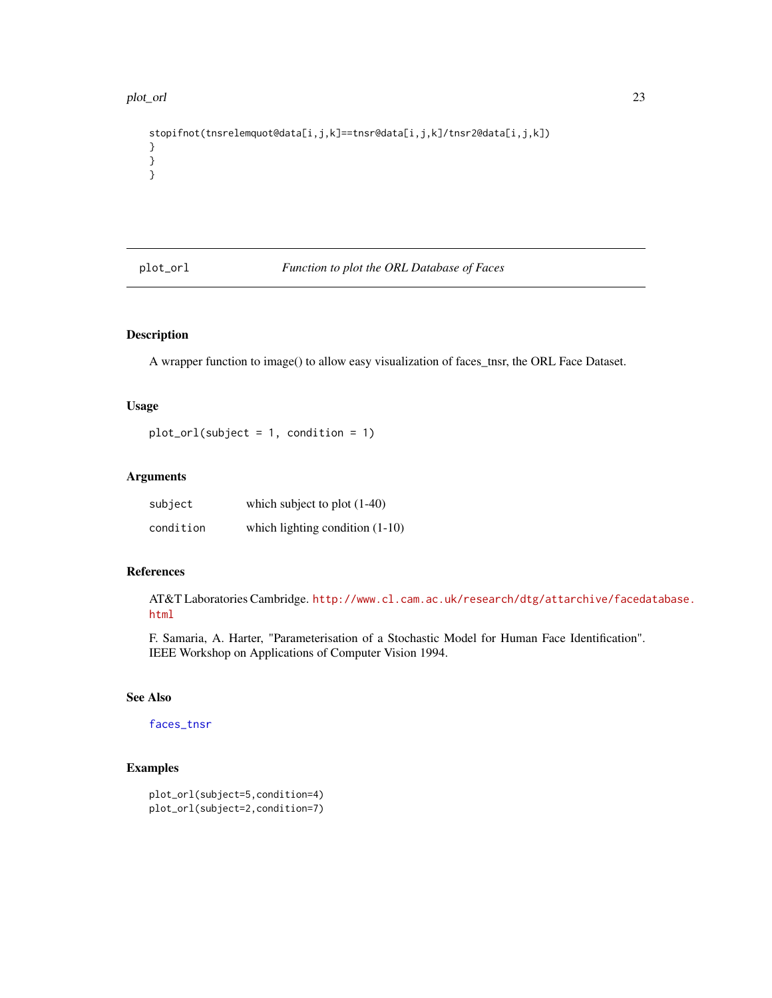#### <span id="page-22-0"></span>plot\_orl 23

```
stopifnot(tnsrelemquot@data[i,j,k]==tnsr@data[i,j,k]/tnsr2@data[i,j,k])
}
}
}
```
<span id="page-22-1"></span>plot\_orl *Function to plot the ORL Database of Faces*

### Description

A wrapper function to image() to allow easy visualization of faces\_tnsr, the ORL Face Dataset.

#### Usage

 $plot_orl(subject = 1, condition = 1)$ 

#### Arguments

| subject   | which subject to plot $(1-40)$    |
|-----------|-----------------------------------|
| condition | which lighting condition $(1-10)$ |

#### References

AT&T Laboratories Cambridge. [http://www.cl.cam.ac.uk/research/dtg/attarchive/faceda](http://www.cl.cam.ac.uk/research/dtg/attarchive/facedatabase.html)tabase. [html](http://www.cl.cam.ac.uk/research/dtg/attarchive/facedatabase.html)

F. Samaria, A. Harter, "Parameterisation of a Stochastic Model for Human Face Identification". IEEE Workshop on Applications of Computer Vision 1994.

### See Also

#### [faces\\_tnsr](#page-6-1)

```
plot_orl(subject=5,condition=4)
plot_orl(subject=2,condition=7)
```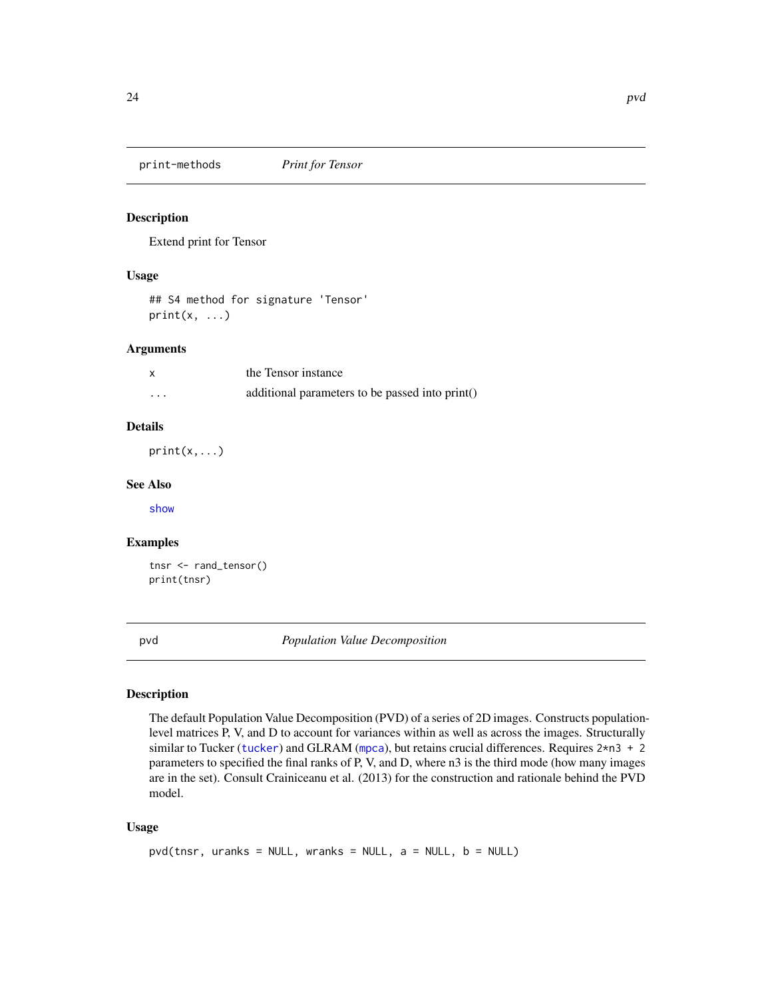<span id="page-23-2"></span><span id="page-23-0"></span>print-methods *Print for Tensor*

#### Description

Extend print for Tensor

#### Usage

```
## S4 method for signature 'Tensor'
print(x, \ldots)
```
#### Arguments

|          | the Tensor instance                             |
|----------|-------------------------------------------------|
| $\cdots$ | additional parameters to be passed into print() |

#### Details

 $print(x, \ldots)$ 

#### See Also

[show](#page-0-0)

#### Examples

```
tnsr <- rand_tensor()
print(tnsr)
```
<span id="page-23-1"></span>pvd *Population Value Decomposition*

#### Description

The default Population Value Decomposition (PVD) of a series of 2D images. Constructs populationlevel matrices P, V, and D to account for variances within as well as across the images. Structurally similar to Tucker ([tucker](#page-33-1)) and GLRAM ([mpca](#page-20-1)), but retains crucial differences. Requires 2\*n3 + 2 parameters to specified the final ranks of P, V, and D, where n3 is the third mode (how many images are in the set). Consult Crainiceanu et al. (2013) for the construction and rationale behind the PVD model.

#### Usage

```
pvd(tnsr, uranks = NULL, wranks = NULL, a = NULL, b = NULL)
```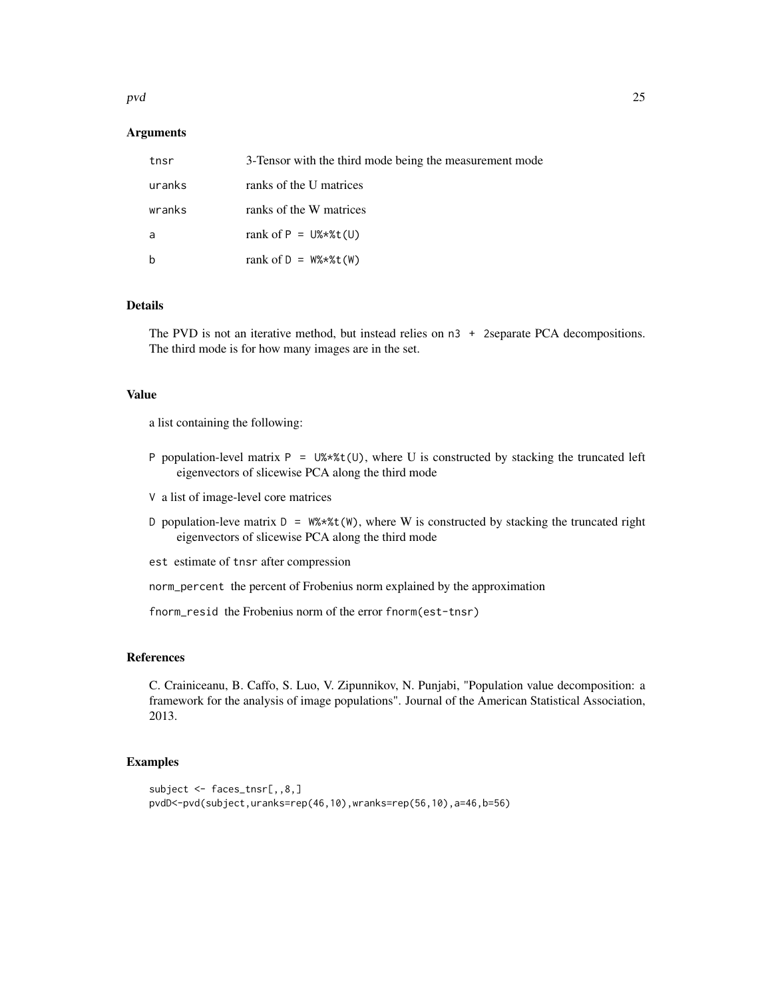#### pvd 25

#### Arguments

| tnsr   | 3-Tensor with the third mode being the measurement mode |
|--------|---------------------------------------------------------|
| uranks | ranks of the U matrices                                 |
| wranks | ranks of the W matrices                                 |
| a      | rank of $P = U$ %*%t(U)                                 |
| b      | rank of $D = W\$ * $X(t)$                               |

#### Details

The PVD is not an iterative method, but instead relies on n3 + 2separate PCA decompositions. The third mode is for how many images are in the set.

#### Value

a list containing the following:

- P population-level matrix  $P = U$ %\*%t(U), where U is constructed by stacking the truncated left eigenvectors of slicewise PCA along the third mode
- V a list of image-level core matrices
- D population-leve matrix  $D = W^* * * t(W)$ , where W is constructed by stacking the truncated right eigenvectors of slicewise PCA along the third mode
- est estimate of tnsr after compression

norm\_percent the percent of Frobenius norm explained by the approximation

fnorm\_resid the Frobenius norm of the error fnorm(est-tnsr)

#### References

C. Crainiceanu, B. Caffo, S. Luo, V. Zipunnikov, N. Punjabi, "Population value decomposition: a framework for the analysis of image populations". Journal of the American Statistical Association, 2013.

```
subject <- faces_tnsr[,,8,]
pvdD<-pvd(subject,uranks=rep(46,10),wranks=rep(56,10),a=46,b=56)
```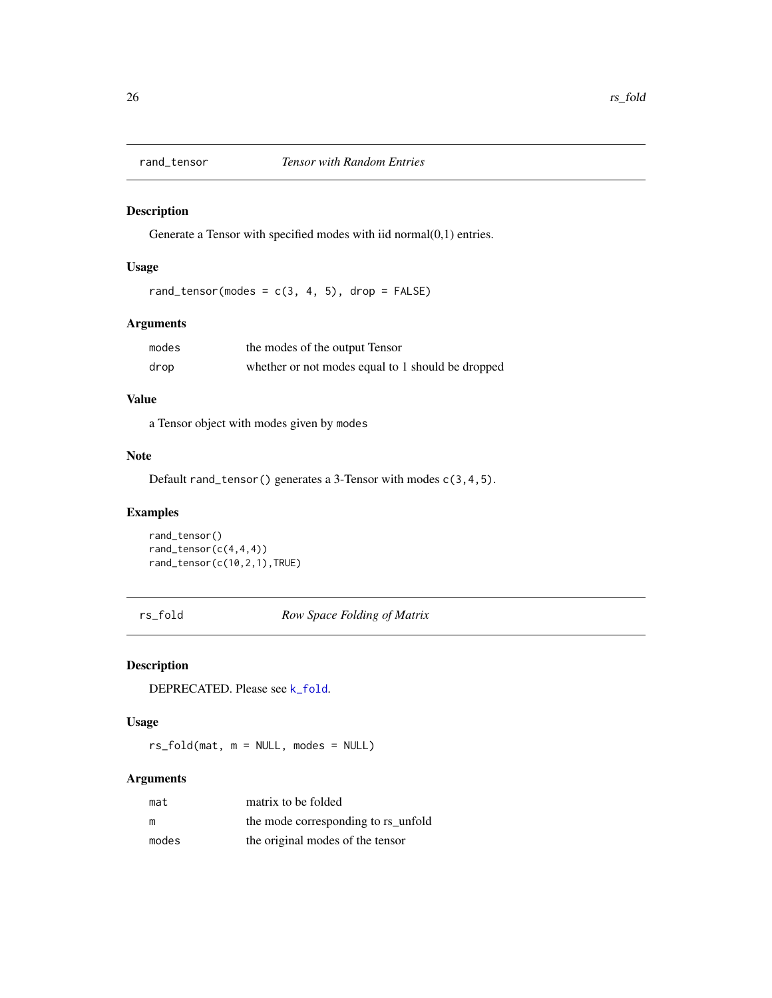<span id="page-25-1"></span><span id="page-25-0"></span>

Generate a Tensor with specified modes with iid normal(0,1) entries.

#### Usage

rand\_tensor(modes =  $c(3, 4, 5)$ , drop = FALSE)

#### Arguments

| modes | the modes of the output Tensor                    |
|-------|---------------------------------------------------|
| drop  | whether or not modes equal to 1 should be dropped |

#### Value

a Tensor object with modes given by modes

#### Note

Default rand\_tensor() generates a 3-Tensor with modes c(3,4,5).

### Examples

```
rand_tensor()
rand_tensor(c(4,4,4))
rand_tensor(c(10,2,1),TRUE)
```
rs\_fold *Row Space Folding of Matrix*

#### Description

DEPRECATED. Please see [k\\_fold](#page-15-1).

#### Usage

rs\_fold(mat, m = NULL, modes = NULL)

### Arguments

| mat   | matrix to be folded                 |
|-------|-------------------------------------|
| m     | the mode corresponding to rs_unfold |
| modes | the original modes of the tensor    |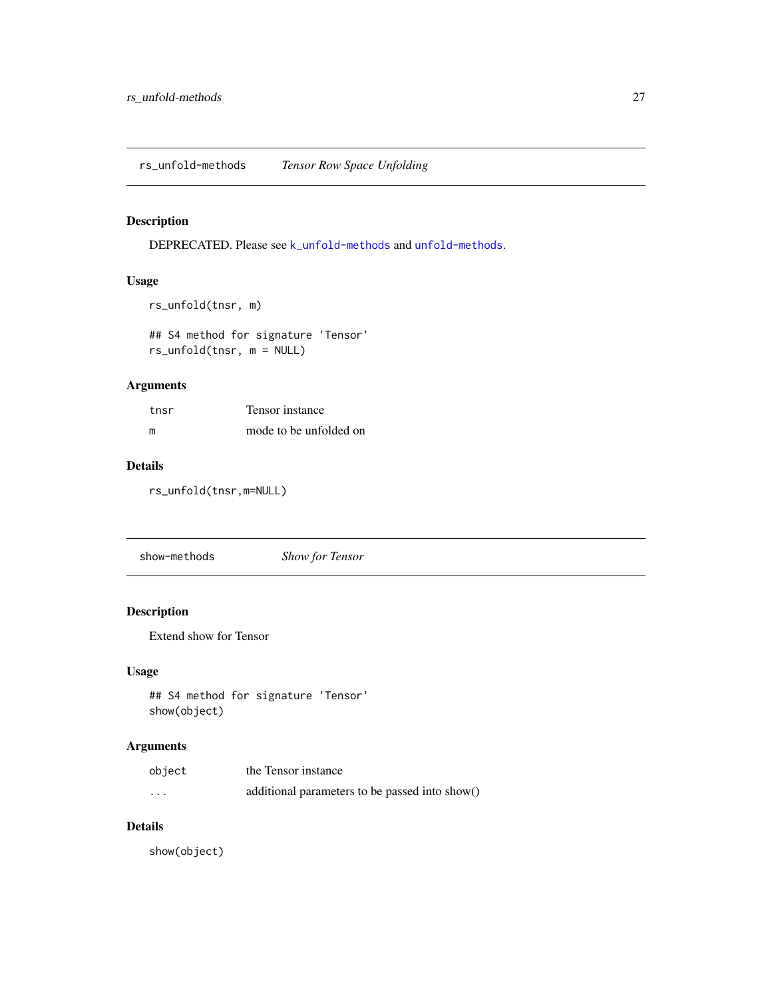<span id="page-26-2"></span><span id="page-26-0"></span>DEPRECATED. Please see [k\\_unfold-methods](#page-16-2) and [unfold-methods](#page-37-2).

#### Usage

```
rs_unfold(tnsr, m)
```
## S4 method for signature 'Tensor' rs\_unfold(tnsr, m = NULL)

#### Arguments

| tnsr | Tensor instance        |
|------|------------------------|
| m    | mode to be unfolded on |

#### Details

rs\_unfold(tnsr,m=NULL)

<span id="page-26-1"></span>show-methods *Show for Tensor*

### Description

Extend show for Tensor

#### Usage

```
## S4 method for signature 'Tensor'
show(object)
```
#### Arguments

| object                  | the Tensor instance                            |
|-------------------------|------------------------------------------------|
| $\cdot$ $\cdot$ $\cdot$ | additional parameters to be passed into show() |

#### Details

show(object)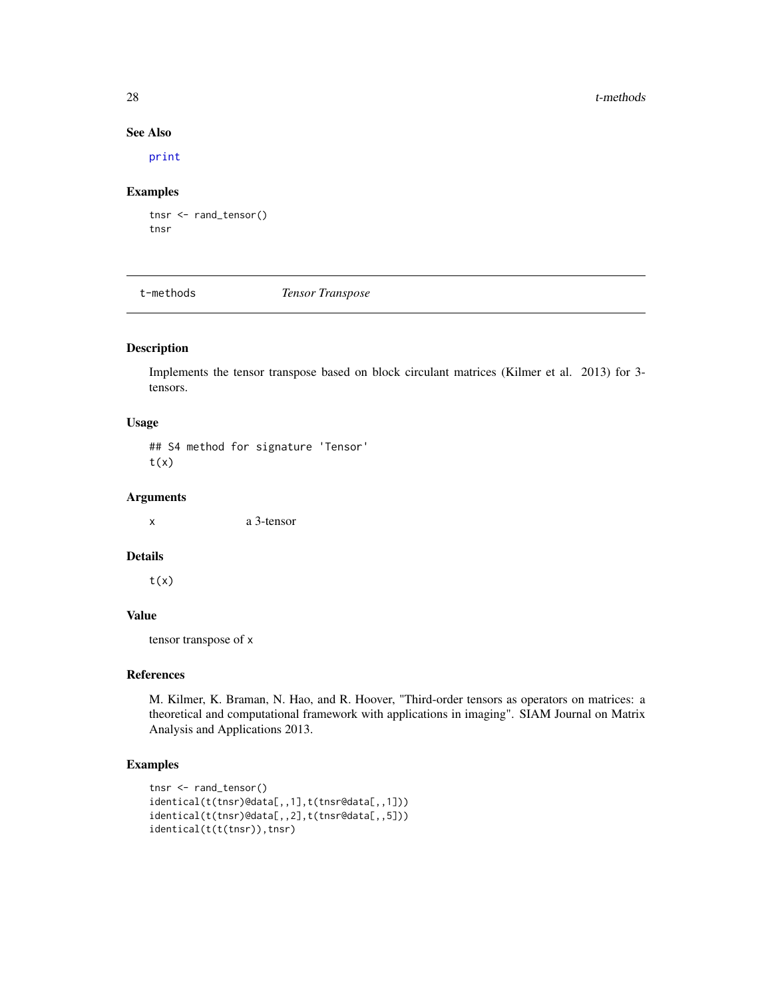#### <span id="page-27-0"></span>28 t-methods and the contract of the contract of the contract of the contract of the contract of the contract of the contract of the contract of the contract of the contract of the contract of the contract of the contract

#### See Also

[print](#page-0-0)

#### Examples

```
tnsr <- rand_tensor()
tnsr
```
<span id="page-27-1"></span>t-methods *Tensor Transpose*

#### Description

Implements the tensor transpose based on block circulant matrices (Kilmer et al. 2013) for 3 tensors.

#### Usage

## S4 method for signature 'Tensor'  $t(x)$ 

#### Arguments

x a 3-tensor

#### Details

 $t(x)$ 

#### Value

tensor transpose of x

#### References

M. Kilmer, K. Braman, N. Hao, and R. Hoover, "Third-order tensors as operators on matrices: a theoretical and computational framework with applications in imaging". SIAM Journal on Matrix Analysis and Applications 2013.

```
tnsr <- rand_tensor()
identical(t(tnsr)@data[,,1],t(tnsr@data[,,1]))
identical(t(tnsr)@data[,,2],t(tnsr@data[,,5]))
identical(t(t(tnsr)),tnsr)
```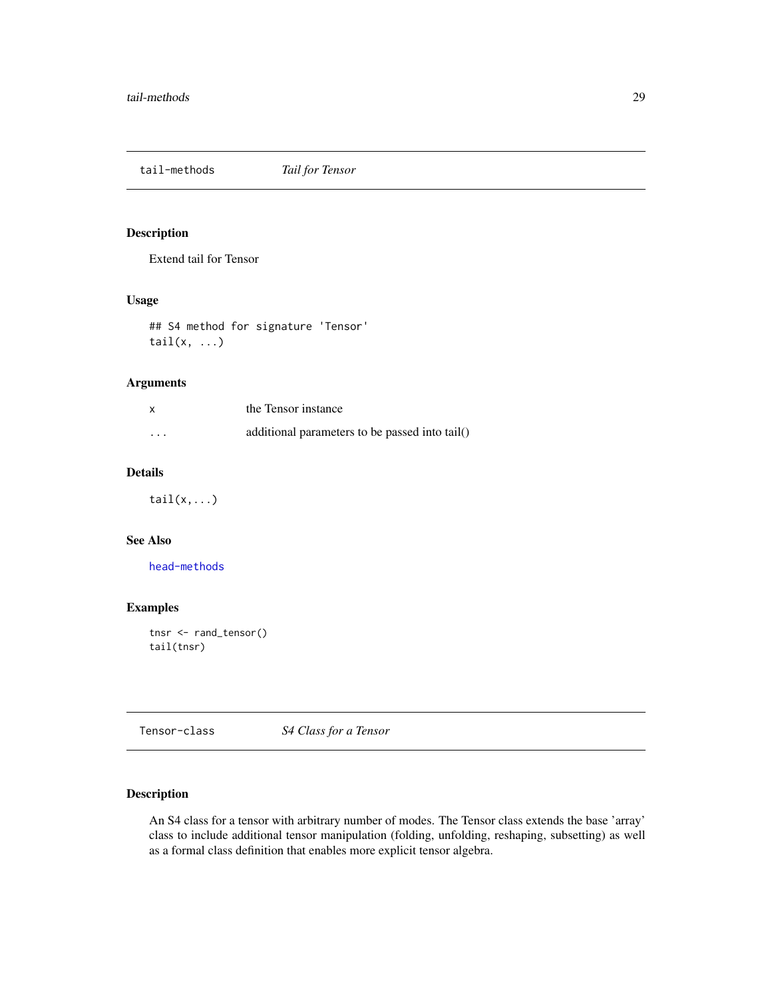<span id="page-28-2"></span><span id="page-28-0"></span>tail-methods *Tail for Tensor*

## Description

Extend tail for Tensor

#### Usage

## S4 method for signature 'Tensor'  $tail(x, \ldots)$ 

#### Arguments

| X                       | the Tensor instance                            |
|-------------------------|------------------------------------------------|
| $\cdot$ $\cdot$ $\cdot$ | additional parameters to be passed into tail() |

#### Details

 $tail(x,...)$ 

#### See Also

[head-methods](#page-9-2)

#### Examples

```
tnsr <- rand_tensor()
tail(tnsr)
```
<span id="page-28-1"></span>Tensor-class *S4 Class for a Tensor*

#### Description

An S4 class for a tensor with arbitrary number of modes. The Tensor class extends the base 'array' class to include additional tensor manipulation (folding, unfolding, reshaping, subsetting) as well as a formal class definition that enables more explicit tensor algebra.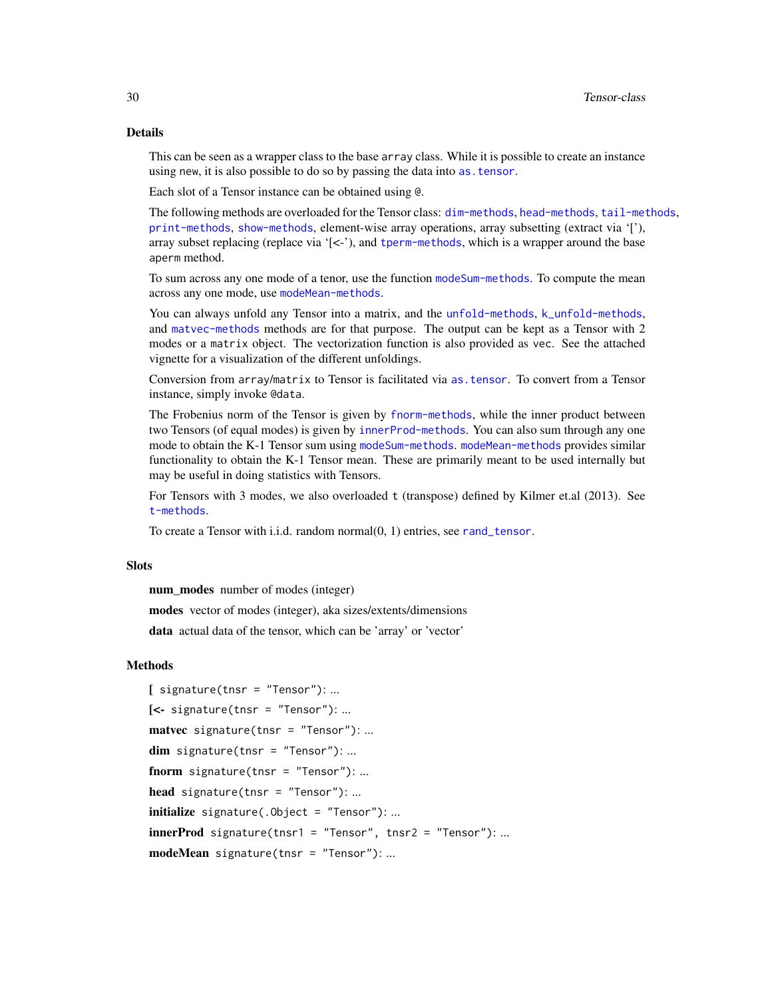#### Details

This can be seen as a wrapper class to the base array class. While it is possible to create an instance using new, it is also possible to do so by passing the data into as. tensor.

Each slot of a Tensor instance can be obtained using @.

The following methods are overloaded for the Tensor class: [dim-methods](#page-6-2), [head-methods](#page-9-2), [tail-methods](#page-28-2), [print-methods](#page-23-2), [show-methods](#page-26-1), element-wise array operations, array subsetting (extract via '['), array subset replacing (replace via  $\leq$   $\leq$   $\cdot$ ), and [tperm-methods](#page-31-2), which is a wrapper around the base aperm method.

To sum across any one mode of a tenor, use the function [modeSum-methods](#page-19-2). To compute the mean across any one mode, use [modeMean-methods](#page-18-2).

You can always unfold any Tensor into a matrix, and the [unfold-methods](#page-37-2), [k\\_unfold-methods](#page-16-2), and [matvec-methods](#page-17-2) methods are for that purpose. The output can be kept as a Tensor with 2 modes or a matrix object. The vectorization function is also provided as vec. See the attached vignette for a visualization of the different unfoldings.

Conversion from array/matrix to Tensor is facilitated via [as.tensor](#page-3-2). To convert from a Tensor instance, simply invoke @data.

The Frobenius norm of the Tensor is given by [fnorm-methods](#page-7-1), while the inner product between two Tensors (of equal modes) is given by [innerProd-methods](#page-12-2). You can also sum through any one mode to obtain the K-1 Tensor sum using [modeSum-methods](#page-19-2). [modeMean-methods](#page-18-2) provides similar functionality to obtain the K-1 Tensor mean. These are primarily meant to be used internally but may be useful in doing statistics with Tensors.

For Tensors with 3 modes, we also overloaded t (transpose) defined by Kilmer et.al (2013). See [t-methods](#page-27-1).

To create a Tensor with i.i.d. random normal(0, 1) entries, see [rand\\_tensor](#page-25-1).

#### **Slots**

num\_modes number of modes (integer)

modes vector of modes (integer), aka sizes/extents/dimensions

data actual data of the tensor, which can be 'array' or 'vector'

#### Methods

```
[ signature(tnsr = "Tensor"): ...
\left[ \left\langle \cdot \right\rangle signature(tnsr = "Tensor"): ...
matvec signature(tnsr = "Tensor"): ...
dim signature(tnsr = "Tensor"): ...
fnorm signature(tnsr = "Tensor"): ...
head signature(tnsr = "Tensor"): ...
initialize signature(.Object = "Tensor"): ...
innerProd signature(tnsr1 = "Tensor", tnsr2 = "Tensor"): ...
modeMean signature(tnsr = "Tensor"): ...
```
<span id="page-29-0"></span>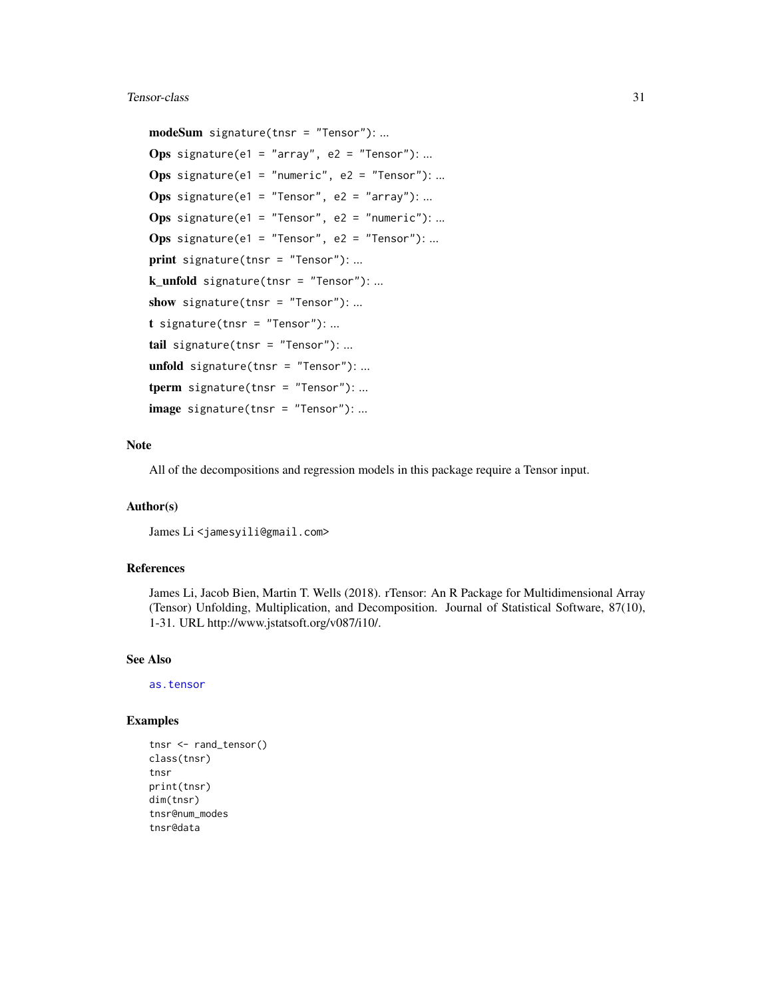#### <span id="page-30-0"></span>Tensor-class 31

modeSum signature(tnsr = "Tensor"): ...

```
Ops signature(e1 = "array", e2 = "Tensor"): ...
Ops signature(e1 = "numeric", e2 = "Tensor"): ...
Ops signature(e1 = "Tensor", e2 = "array"): ...
Ops signature(e1 = "Tensor", e2 = "numeric"): ...
Ops signature(e1 = "Tensor", e2 = "Tensor"): ...
print signature(tnsr = "Tensor"): ...
k_unfold signature(tnsr = "Tensor"): ...
show signature(tnsr = "Tensor"): ...
t signature(tnsr = "Tensor"): ...
tail signature(tnsr = "Tensor"): ...
unfold signature(tnsr = "Tensor"): ...
tperm signature(tnsr = "Tensor"): ...
image signature(tnsr = "Tensor"): ...
```
#### Note

All of the decompositions and regression models in this package require a Tensor input.

#### Author(s)

James Li<jamesyili@gmail.com>

#### References

James Li, Jacob Bien, Martin T. Wells (2018). rTensor: An R Package for Multidimensional Array (Tensor) Unfolding, Multiplication, and Decomposition. Journal of Statistical Software, 87(10), 1-31. URL http://www.jstatsoft.org/v087/i10/.

#### See Also

[as.tensor](#page-3-2)

```
tnsr <- rand_tensor()
class(tnsr)
tnsr
print(tnsr)
dim(tnsr)
tnsr@num_modes
tnsr@data
```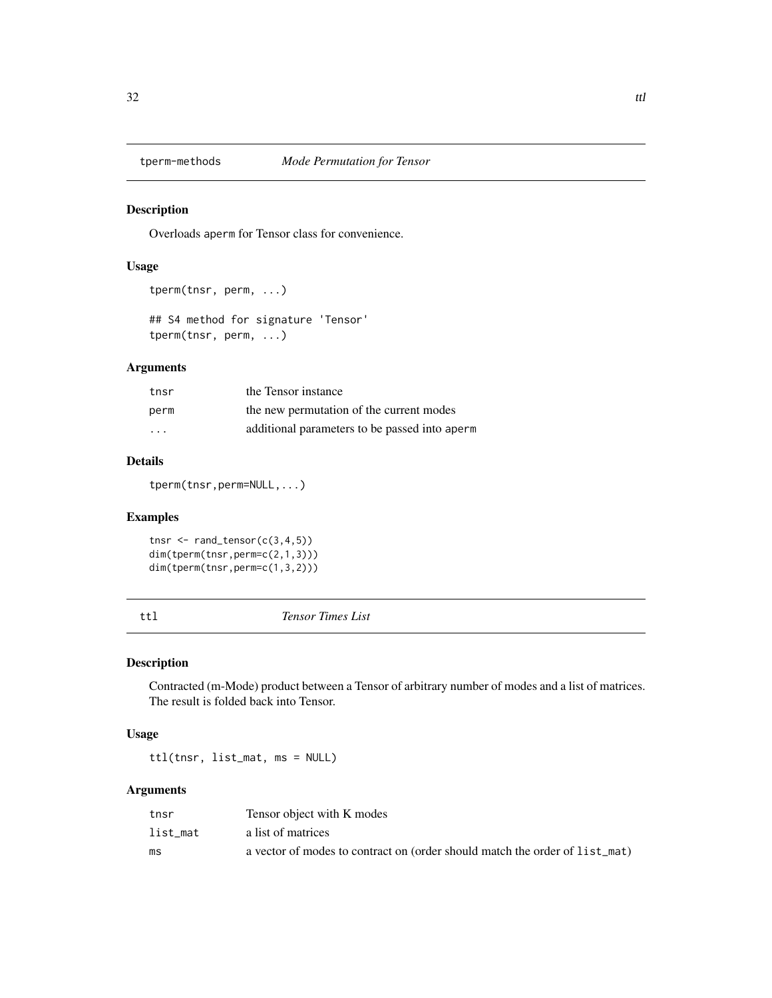<span id="page-31-2"></span><span id="page-31-0"></span>

Overloads aperm for Tensor class for convenience.

#### Usage

```
tperm(tnsr, perm, ...)
```
## S4 method for signature 'Tensor' tperm(tnsr, perm, ...)

### Arguments

| tnsr                    | the Tensor instance                           |
|-------------------------|-----------------------------------------------|
| perm                    | the new permutation of the current modes      |
| $\cdot$ $\cdot$ $\cdot$ | additional parameters to be passed into aperm |

### Details

tperm(tnsr,perm=NULL,...)

#### Examples

```
tnsr \leq rand_tensor(c(3,4,5))
dim(tperm(tnsr,perm=c(2,1,3)))
dim(tperm(tnsr,perm=c(1,3,2)))
```
<span id="page-31-1"></span>ttl *Tensor Times List*

#### Description

Contracted (m-Mode) product between a Tensor of arbitrary number of modes and a list of matrices. The result is folded back into Tensor.

#### Usage

ttl(tnsr, list\_mat, ms = NULL)

#### Arguments

| tnsr     | Tensor object with K modes                                                  |
|----------|-----------------------------------------------------------------------------|
| list mat | a list of matrices                                                          |
| ms       | a vector of modes to contract on (order should match the order of list_mat) |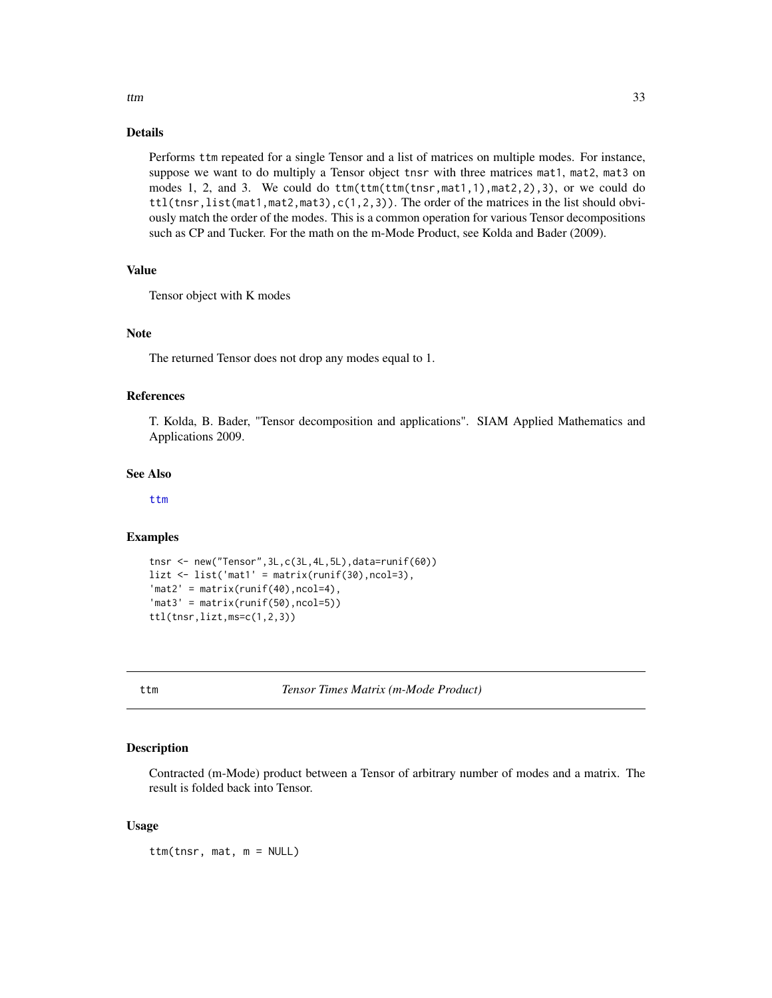#### <span id="page-32-0"></span>Details

Performs ttm repeated for a single Tensor and a list of matrices on multiple modes. For instance, suppose we want to do multiply a Tensor object tnsr with three matrices mat1, mat2, mat3 on modes 1, 2, and 3. We could do ttm(ttm(ttm(tnsr,mat1,1),mat2,2),3), or we could do  $ttl(tnsr, list(mat1, mat2, mat3), c(1, 2, 3))$ . The order of the matrices in the list should obviously match the order of the modes. This is a common operation for various Tensor decompositions such as CP and Tucker. For the math on the m-Mode Product, see Kolda and Bader (2009).

#### Value

Tensor object with K modes

#### Note

The returned Tensor does not drop any modes equal to 1.

#### References

T. Kolda, B. Bader, "Tensor decomposition and applications". SIAM Applied Mathematics and Applications 2009.

#### See Also

[ttm](#page-32-1)

#### Examples

```
tnsr <- new("Tensor",3L,c(3L,4L,5L),data=runif(60))
list \leftarrow list('mat' = matrix(runif(30), ncol=3),'mat2' = matrix(runif(40),ncol=4),'mat3' = matrix(runif(50),ncol=5))ttl(tnsr,lizt,ms=c(1,2,3))
```
<span id="page-32-1"></span>ttm *Tensor Times Matrix (m-Mode Product)*

#### Description

Contracted (m-Mode) product between a Tensor of arbitrary number of modes and a matrix. The result is folded back into Tensor.

#### Usage

ttm(tnsr, mat, m = NULL)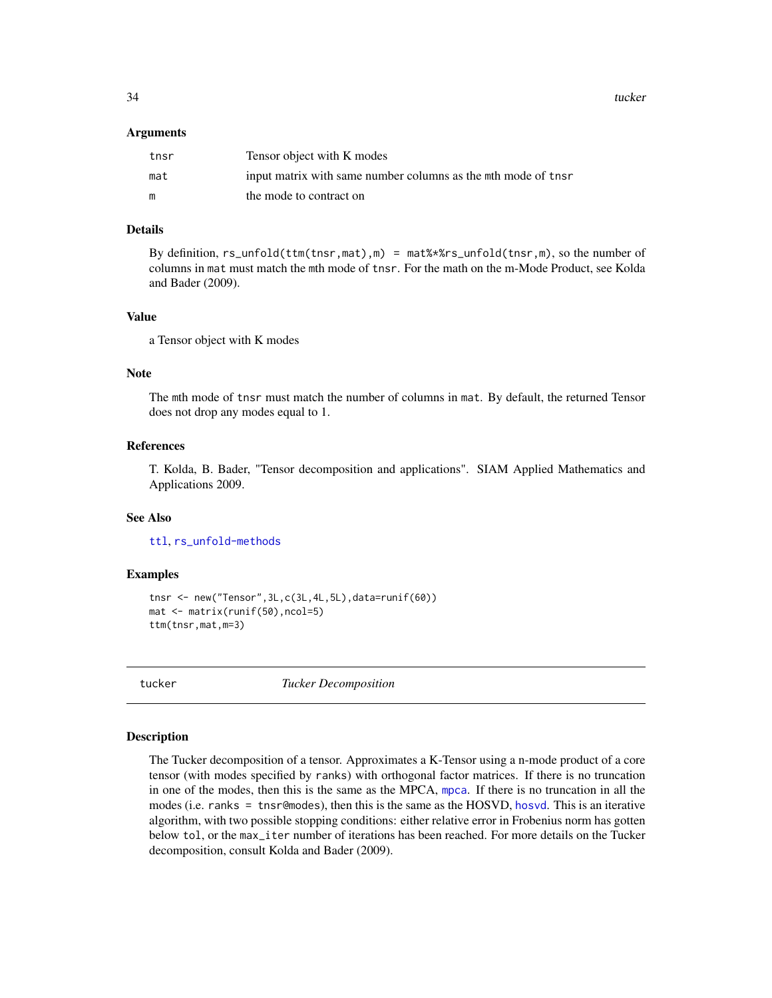<span id="page-33-0"></span>34 tucker

#### Arguments

| tnsr | Tensor object with K modes                                   |
|------|--------------------------------------------------------------|
| mat  | input matrix with same number columns as the mth mode of the |
| m    | the mode to contract on                                      |

#### Details

By definition, rs\_unfold(ttm(tnsr,mat),m) = mat%\*%rs\_unfold(tnsr,m), so the number of columns in mat must match the mth mode of tnsr. For the math on the m-Mode Product, see Kolda and Bader (2009).

#### Value

a Tensor object with K modes

#### Note

The mth mode of tnsr must match the number of columns in mat. By default, the returned Tensor does not drop any modes equal to 1.

#### References

T. Kolda, B. Bader, "Tensor decomposition and applications". SIAM Applied Mathematics and Applications 2009.

#### See Also

[ttl](#page-31-1), [rs\\_unfold-methods](#page-26-2)

#### Examples

```
tnsr <- new("Tensor",3L,c(3L,4L,5L),data=runif(60))
mat <- matrix(runif(50),ncol=5)
ttm(tnsr,mat,m=3)
```
<span id="page-33-1"></span>

tucker *Tucker Decomposition*

#### Description

The Tucker decomposition of a tensor. Approximates a K-Tensor using a n-mode product of a core tensor (with modes specified by ranks) with orthogonal factor matrices. If there is no truncation in one of the modes, then this is the same as the MPCA, [mpca](#page-20-1). If there is no truncation in all the modes (i.e. ranks = tnsr@modes), then this is the same as the HOSVD, [hosvd](#page-10-1). This is an iterative algorithm, with two possible stopping conditions: either relative error in Frobenius norm has gotten below tol, or the max\_iter number of iterations has been reached. For more details on the Tucker decomposition, consult Kolda and Bader (2009).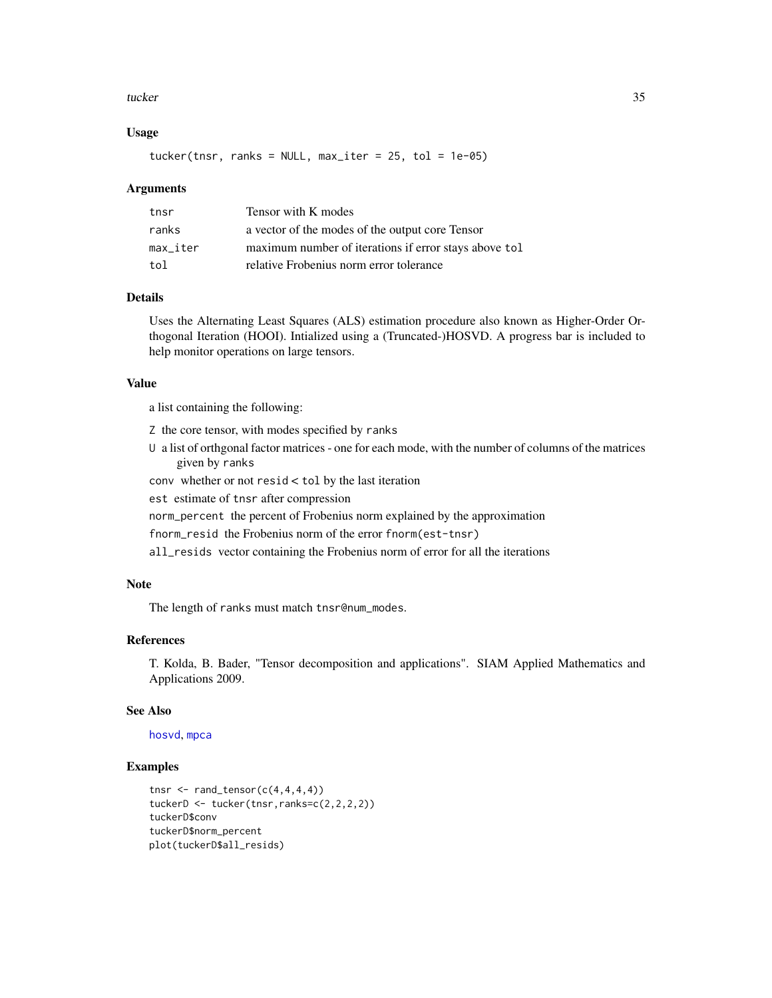#### <span id="page-34-0"></span>tucker 35

#### Usage

 $tucker(tnsr, ranks = NULL, max\_iter = 25, tol = 1e-05)$ 

#### Arguments

| tnsr     | Tensor with K modes                                   |
|----------|-------------------------------------------------------|
| ranks    | a vector of the modes of the output core Tensor       |
| max iter | maximum number of iterations if error stays above tol |
| tol      | relative Frobenius norm error tolerance               |

#### Details

Uses the Alternating Least Squares (ALS) estimation procedure also known as Higher-Order Orthogonal Iteration (HOOI). Intialized using a (Truncated-)HOSVD. A progress bar is included to help monitor operations on large tensors.

#### Value

a list containing the following:

- Z the core tensor, with modes specified by ranks
- U a list of orthgonal factor matrices one for each mode, with the number of columns of the matrices given by ranks
- conv whether or not resid < tol by the last iteration
- est estimate of tnsr after compression
- norm\_percent the percent of Frobenius norm explained by the approximation
- fnorm\_resid the Frobenius norm of the error fnorm(est-tnsr)
- all\_resids vector containing the Frobenius norm of error for all the iterations

#### Note

The length of ranks must match tnsr@num\_modes.

#### References

T. Kolda, B. Bader, "Tensor decomposition and applications". SIAM Applied Mathematics and Applications 2009.

#### See Also

[hosvd](#page-10-1), [mpca](#page-20-1)

```
tnsr \leq rand_tensor(c(4,4,4,4))
tuckerD <- tucker(tnsr,ranks=c(2,2,2,2))
tuckerD$conv
tuckerD$norm_percent
plot(tuckerD$all_resids)
```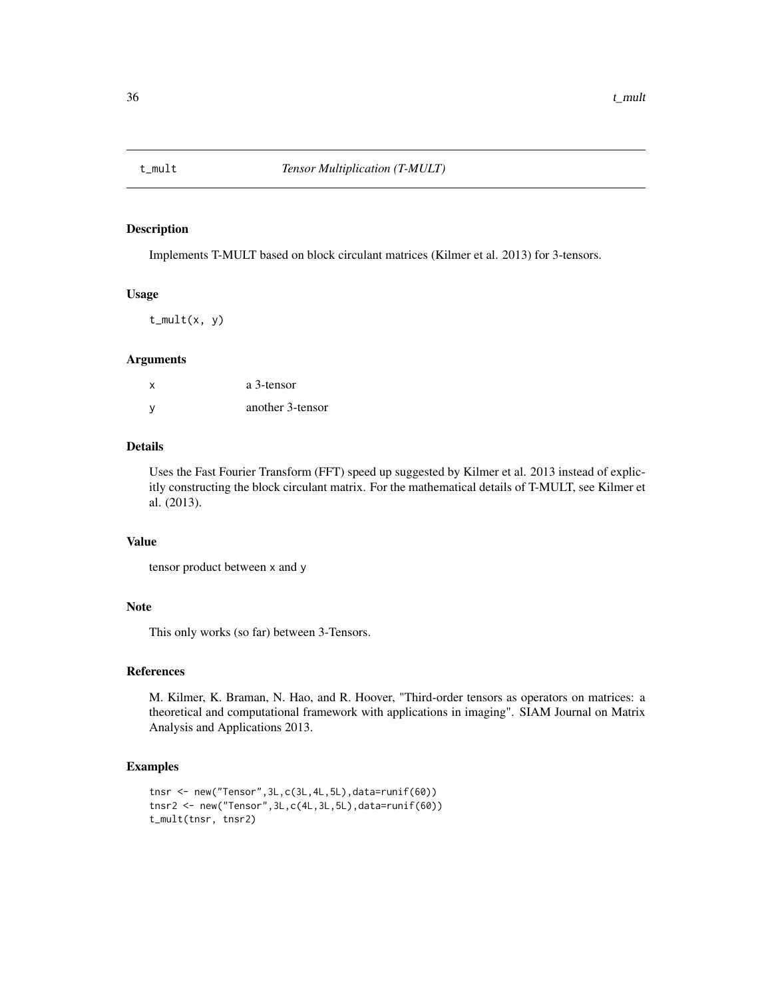<span id="page-35-1"></span><span id="page-35-0"></span>

Implements T-MULT based on block circulant matrices (Kilmer et al. 2013) for 3-tensors.

#### Usage

 $t_mult(x, y)$ 

#### Arguments

| x | a 3-tensor       |
|---|------------------|
| y | another 3-tensor |

#### Details

Uses the Fast Fourier Transform (FFT) speed up suggested by Kilmer et al. 2013 instead of explicitly constructing the block circulant matrix. For the mathematical details of T-MULT, see Kilmer et al. (2013).

#### Value

```
tensor product between x and y
```
#### Note

This only works (so far) between 3-Tensors.

#### References

M. Kilmer, K. Braman, N. Hao, and R. Hoover, "Third-order tensors as operators on matrices: a theoretical and computational framework with applications in imaging". SIAM Journal on Matrix Analysis and Applications 2013.

```
tnsr <- new("Tensor",3L,c(3L,4L,5L),data=runif(60))
tnsr2 <- new("Tensor",3L,c(4L,3L,5L),data=runif(60))
t_mult(tnsr, tnsr2)
```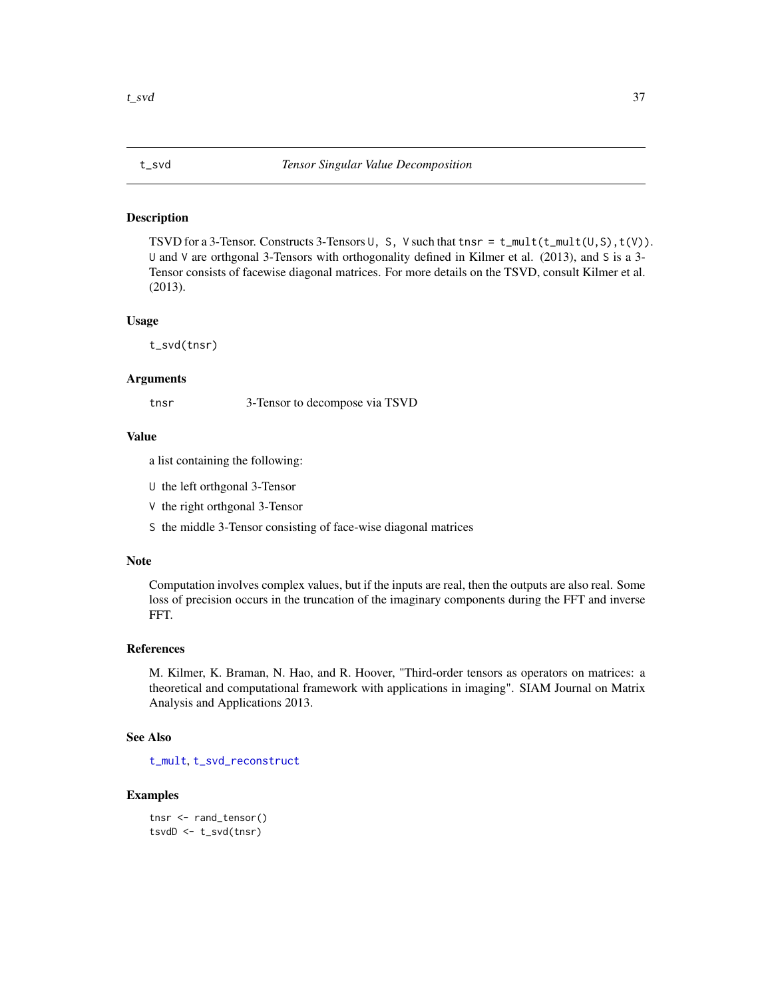<span id="page-36-1"></span><span id="page-36-0"></span>

TSVD for a 3-Tensor. Constructs 3-Tensors  $\cup$ , S, V such that tnsr = t\_mult(t\_mult( $\cup$ ,S),t(V)). U and V are orthgonal 3-Tensors with orthogonality defined in Kilmer et al. (2013), and S is a 3- Tensor consists of facewise diagonal matrices. For more details on the TSVD, consult Kilmer et al. (2013).

#### Usage

t\_svd(tnsr)

#### Arguments

tnsr 3-Tensor to decompose via TSVD

#### Value

a list containing the following:

U the left orthgonal 3-Tensor

V the right orthgonal 3-Tensor

S the middle 3-Tensor consisting of face-wise diagonal matrices

#### Note

Computation involves complex values, but if the inputs are real, then the outputs are also real. Some loss of precision occurs in the truncation of the imaginary components during the FFT and inverse FFT.

#### References

M. Kilmer, K. Braman, N. Hao, and R. Hoover, "Third-order tensors as operators on matrices: a theoretical and computational framework with applications in imaging". SIAM Journal on Matrix Analysis and Applications 2013.

#### See Also

[t\\_mult](#page-35-1), [t\\_svd\\_reconstruct](#page-37-1)

```
tnsr <- rand_tensor()
tsvdD \leftarrow t_svd(tnsr)
```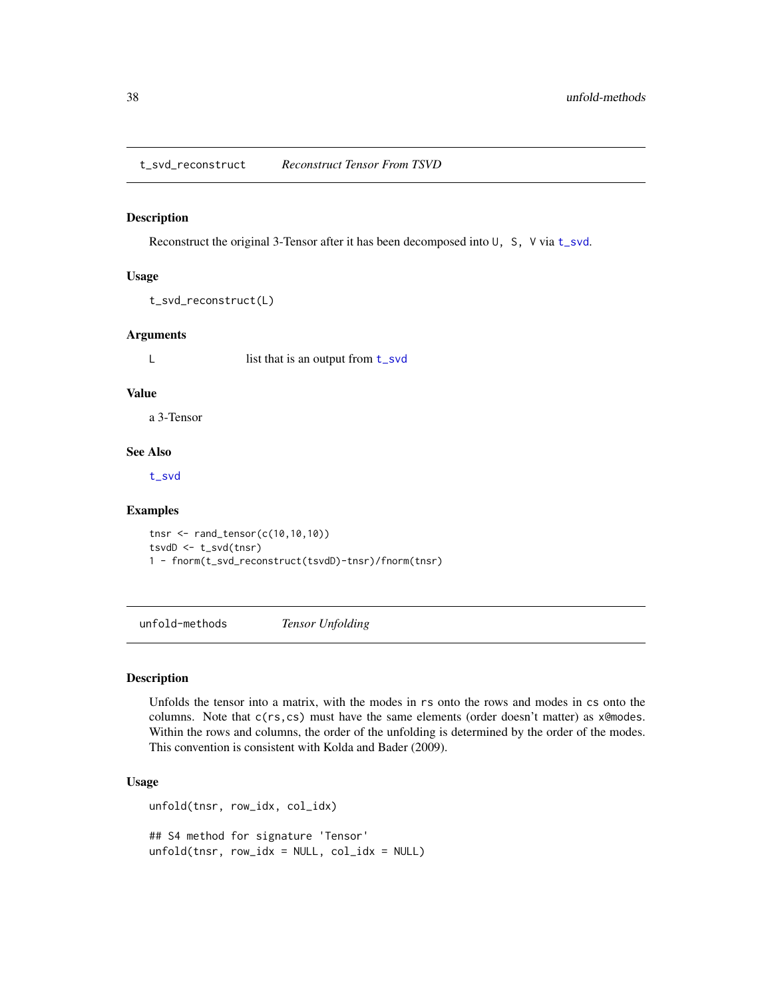<span id="page-37-1"></span><span id="page-37-0"></span>t\_svd\_reconstruct *Reconstruct Tensor From TSVD*

#### Description

Reconstruct the original 3-Tensor after it has been decomposed into  $\cup$ , S, V via [t\\_svd](#page-36-1).

#### Usage

```
t_svd_reconstruct(L)
```
#### Arguments

L list that is an output from [t\\_svd](#page-36-1)

#### Value

a 3-Tensor

#### See Also

[t\\_svd](#page-36-1)

#### Examples

tnsr <- rand\_tensor(c(10,10,10)) tsvdD <- t\_svd(tnsr) 1 - fnorm(t\_svd\_reconstruct(tsvdD)-tnsr)/fnorm(tnsr)

<span id="page-37-2"></span>unfold-methods *Tensor Unfolding*

#### Description

Unfolds the tensor into a matrix, with the modes in rs onto the rows and modes in cs onto the columns. Note that  $c(rs, cs)$  must have the same elements (order doesn't matter) as  $x$ @modes. Within the rows and columns, the order of the unfolding is determined by the order of the modes. This convention is consistent with Kolda and Bader (2009).

#### Usage

```
unfold(tnsr, row_idx, col_idx)
## S4 method for signature 'Tensor'
unfold(tnsr, row_idx = NULL, col_idx = NULL)
```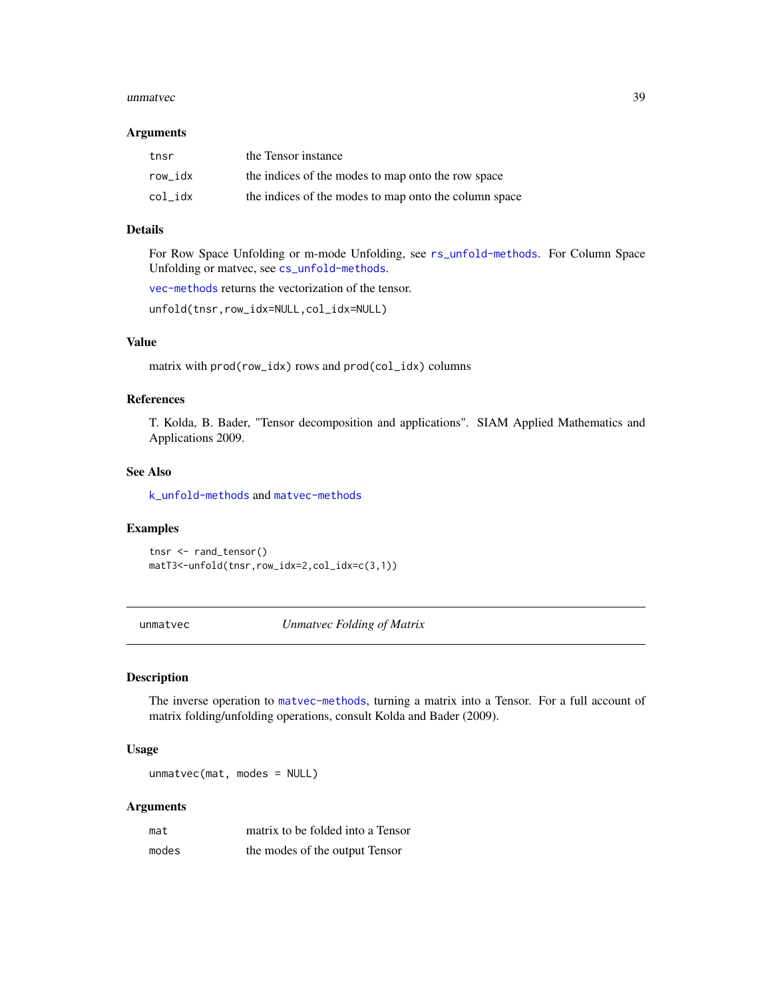#### <span id="page-38-0"></span>unmatvec 39

#### **Arguments**

| tnsr    | the Tensor instance                                   |
|---------|-------------------------------------------------------|
| row idx | the indices of the modes to map onto the row space    |
| col idx | the indices of the modes to map onto the column space |

#### Details

For Row Space Unfolding or m-mode Unfolding, see [rs\\_unfold-methods](#page-26-2). For Column Space Unfolding or matvec, see [cs\\_unfold-methods](#page-5-1).

[vec-methods](#page-39-1) returns the vectorization of the tensor.

unfold(tnsr,row\_idx=NULL,col\_idx=NULL)

#### Value

matrix with prod(row\_idx) rows and prod(col\_idx) columns

#### References

T. Kolda, B. Bader, "Tensor decomposition and applications". SIAM Applied Mathematics and Applications 2009.

#### See Also

[k\\_unfold-methods](#page-16-2) and [matvec-methods](#page-17-2)

#### Examples

```
tnsr <- rand_tensor()
matT3<-unfold(tnsr,row_idx=2,col_idx=c(3,1))
```
<span id="page-38-1"></span>unmatvec *Unmatvec Folding of Matrix*

#### Description

The inverse operation to [matvec-methods](#page-17-2), turning a matrix into a Tensor. For a full account of matrix folding/unfolding operations, consult Kolda and Bader (2009).

#### Usage

unmatvec(mat, modes = NULL)

#### Arguments

| mat   | matrix to be folded into a Tensor |
|-------|-----------------------------------|
| modes | the modes of the output Tensor    |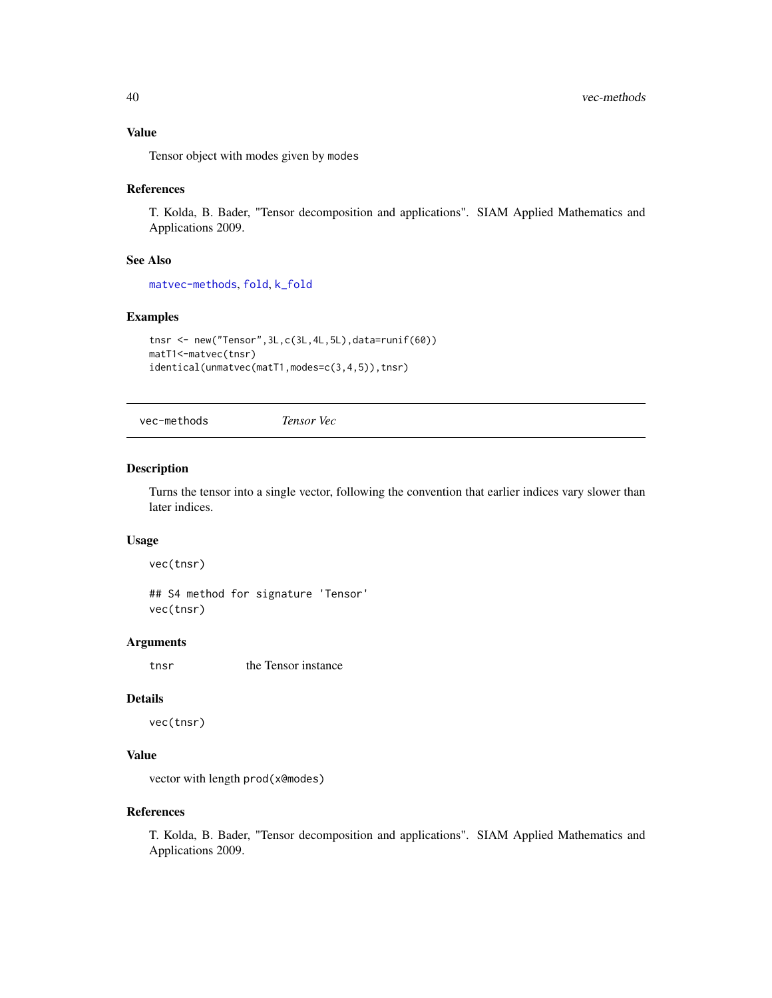#### <span id="page-39-0"></span>Value

Tensor object with modes given by modes

#### References

T. Kolda, B. Bader, "Tensor decomposition and applications". SIAM Applied Mathematics and Applications 2009.

#### See Also

[matvec-methods](#page-17-2), [fold](#page-8-1), [k\\_fold](#page-15-1)

#### Examples

```
tnsr <- new("Tensor",3L,c(3L,4L,5L),data=runif(60))
matT1<-matvec(tnsr)
identical(unmatvec(matT1,modes=c(3,4,5)),tnsr)
```
<span id="page-39-1"></span>vec-methods *Tensor Vec*

## Description

Turns the tensor into a single vector, following the convention that earlier indices vary slower than later indices.

#### Usage

vec(tnsr)

## S4 method for signature 'Tensor' vec(tnsr)

#### Arguments

tnsr the Tensor instance

#### Details

vec(tnsr)

#### Value

vector with length prod(x@modes)

#### References

T. Kolda, B. Bader, "Tensor decomposition and applications". SIAM Applied Mathematics and Applications 2009.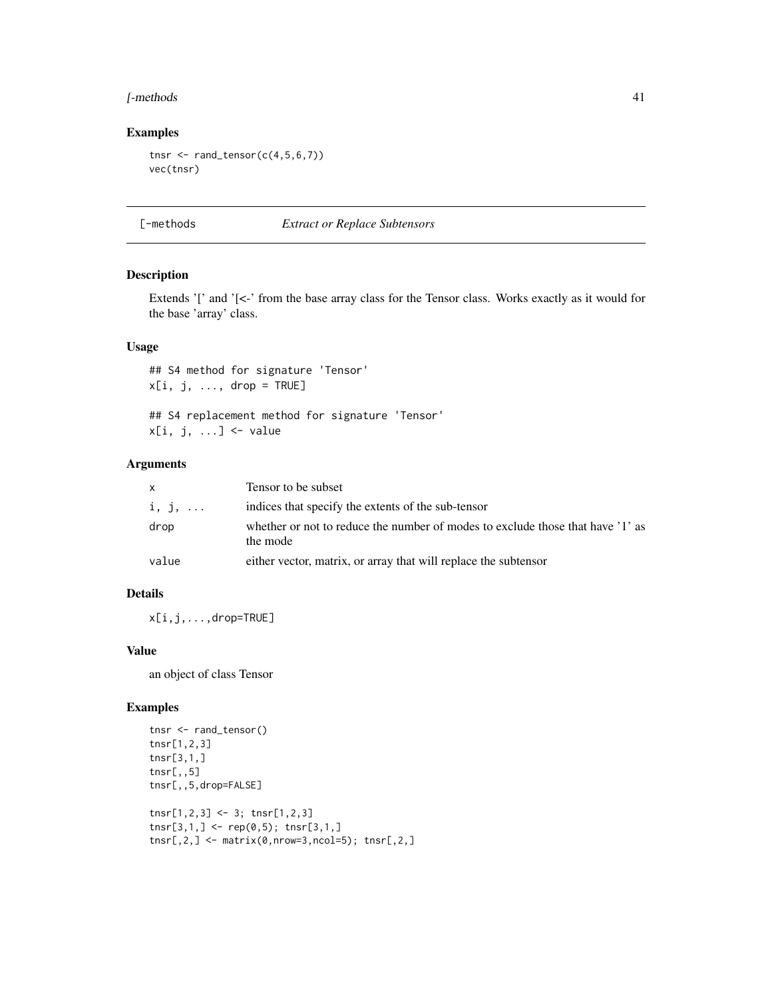#### <span id="page-40-0"></span>[-methods 41

#### Examples

```
tnsr \leq rand_tensor(c(4,5,6,7))
vec(tnsr)
```
[-methods *Extract or Replace Subtensors*

#### **Description**

Extends '[' and '[<-' from the base array class for the Tensor class. Works exactly as it would for the base 'array' class.

#### Usage

## S4 method for signature 'Tensor'  $x[i, j, ..., drop = TRUE]$ 

## S4 replacement method for signature 'Tensor'  $x[i, j, ...]$  <- value

#### Arguments

| x     | Tensor to be subset                                                                        |
|-------|--------------------------------------------------------------------------------------------|
| i, j, | indices that specify the extents of the sub-tensor                                         |
| drop  | whether or not to reduce the number of modes to exclude those that have '1' as<br>the mode |
| value | either vector, matrix, or array that will replace the subtensor                            |

#### Details

x[i,j,...,drop=TRUE]

#### Value

an object of class Tensor

```
tnsr <- rand_tensor()
tnsr[1,2,3]
tnsr[3,1,]
tnsr[,,5]
tnsr[,,5,drop=FALSE]
tnsr[1,2,3] <- 3; tnsr[1,2,3]
tnsr[3,1,] < - rep(0,5); tnsr[3,1,]tnsr[,2,] \leftarrow matrix(0, nrow=3, ncol=5); tnsr[,2,]
```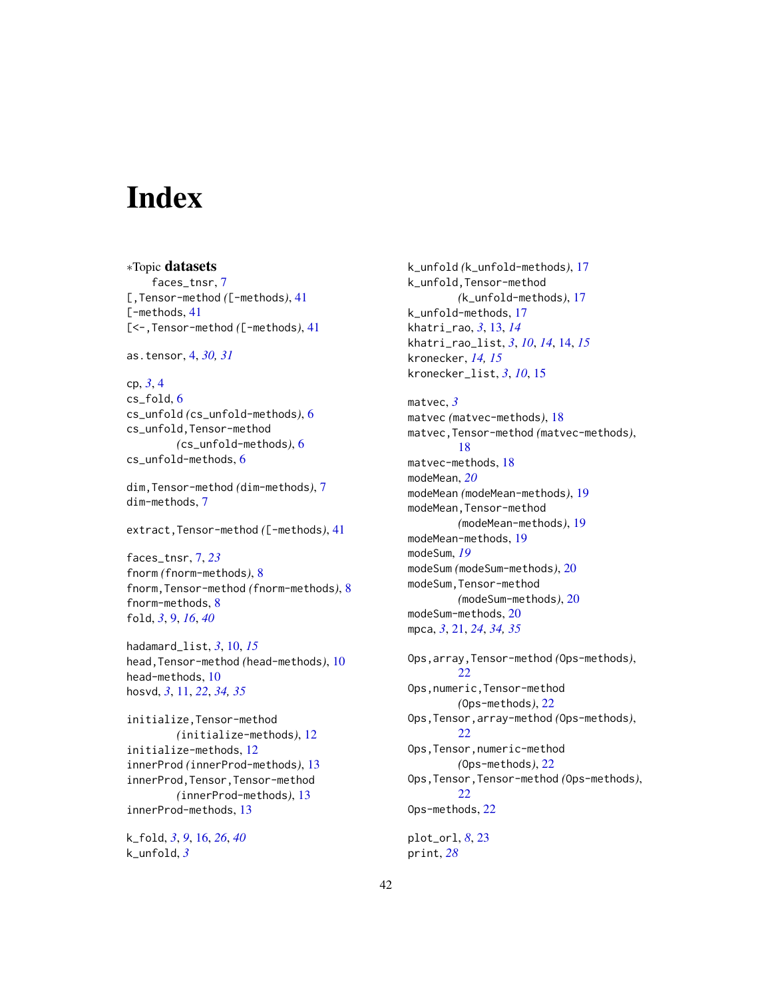# <span id="page-41-0"></span>**Index**

∗Topic datasets faces\_tnsr, [7](#page-6-0) [,Tensor-method *(*[-methods*)*, [41](#page-40-0) [-methods, [41](#page-40-0) [<-,Tensor-method *(*[-methods*)*, [41](#page-40-0)

as.tensor, [4,](#page-3-0) *[30,](#page-29-0) [31](#page-30-0)*

cp, *[3](#page-2-0)*, [4](#page-3-0) cs\_fold, [6](#page-5-0) cs\_unfold *(*cs\_unfold-methods*)*, [6](#page-5-0) cs\_unfold,Tensor-method *(*cs\_unfold-methods*)*, [6](#page-5-0) cs\_unfold-methods, [6](#page-5-0)

dim,Tensor-method *(*dim-methods*)*, [7](#page-6-0) dim-methods, [7](#page-6-0)

extract,Tensor-method *(*[-methods*)*, [41](#page-40-0)

faces\_tnsr, [7,](#page-6-0) *[23](#page-22-0)* fnorm *(*fnorm-methods*)*, [8](#page-7-0) fnorm,Tensor-method *(*fnorm-methods*)*, [8](#page-7-0) fnorm-methods, [8](#page-7-0) fold, *[3](#page-2-0)*, [9,](#page-8-0) *[16](#page-15-0)*, *[40](#page-39-0)*

hadamard\_list, *[3](#page-2-0)*, [10,](#page-9-0) *[15](#page-14-0)* head,Tensor-method *(*head-methods*)*, [10](#page-9-0) head-methods, [10](#page-9-0) hosvd, *[3](#page-2-0)*, [11,](#page-10-0) *[22](#page-21-0)*, *[34,](#page-33-0) [35](#page-34-0)*

initialize,Tensor-method *(*initialize-methods*)*, [12](#page-11-0) initialize-methods, [12](#page-11-0) innerProd *(*innerProd-methods*)*, [13](#page-12-0) innerProd,Tensor,Tensor-method *(*innerProd-methods*)*, [13](#page-12-0) innerProd-methods, [13](#page-12-0)

k\_fold, *[3](#page-2-0)*, *[9](#page-8-0)*, [16,](#page-15-0) *[26](#page-25-0)*, *[40](#page-39-0)* k\_unfold, *[3](#page-2-0)*

k\_unfold *(*k\_unfold-methods*)*, [17](#page-16-0) k\_unfold,Tensor-method *(*k\_unfold-methods*)*, [17](#page-16-0) k\_unfold-methods, [17](#page-16-0) khatri\_rao, *[3](#page-2-0)*, [13,](#page-12-0) *[14](#page-13-0)* khatri\_rao\_list, *[3](#page-2-0)*, *[10](#page-9-0)*, *[14](#page-13-0)*, [14,](#page-13-0) *[15](#page-14-0)* kronecker, *[14,](#page-13-0) [15](#page-14-0)* kronecker\_list, *[3](#page-2-0)*, *[10](#page-9-0)*, [15](#page-14-0)

matvec, *[3](#page-2-0)* matvec *(*matvec-methods*)*, [18](#page-17-0) matvec,Tensor-method *(*matvec-methods*)*, [18](#page-17-0) matvec-methods, [18](#page-17-0) modeMean, *[20](#page-19-0)* modeMean *(*modeMean-methods*)*, [19](#page-18-0) modeMean,Tensor-method *(*modeMean-methods*)*, [19](#page-18-0) modeMean-methods, [19](#page-18-0) modeSum, *[19](#page-18-0)* modeSum *(*modeSum-methods*)*, [20](#page-19-0) modeSum,Tensor-method *(*modeSum-methods*)*, [20](#page-19-0) modeSum-methods, [20](#page-19-0) mpca, *[3](#page-2-0)*, [21,](#page-20-0) *[24](#page-23-0)*, *[34,](#page-33-0) [35](#page-34-0)*

Ops,array,Tensor-method *(*Ops-methods*)*, [22](#page-21-0) Ops,numeric,Tensor-method *(*Ops-methods*)*, [22](#page-21-0) Ops,Tensor,array-method *(*Ops-methods*)*, [22](#page-21-0) Ops,Tensor,numeric-method *(*Ops-methods*)*, [22](#page-21-0) Ops,Tensor,Tensor-method *(*Ops-methods*)*, [22](#page-21-0) Ops-methods, [22](#page-21-0)

plot\_orl, *[8](#page-7-0)*, [23](#page-22-0) print, *[28](#page-27-0)*